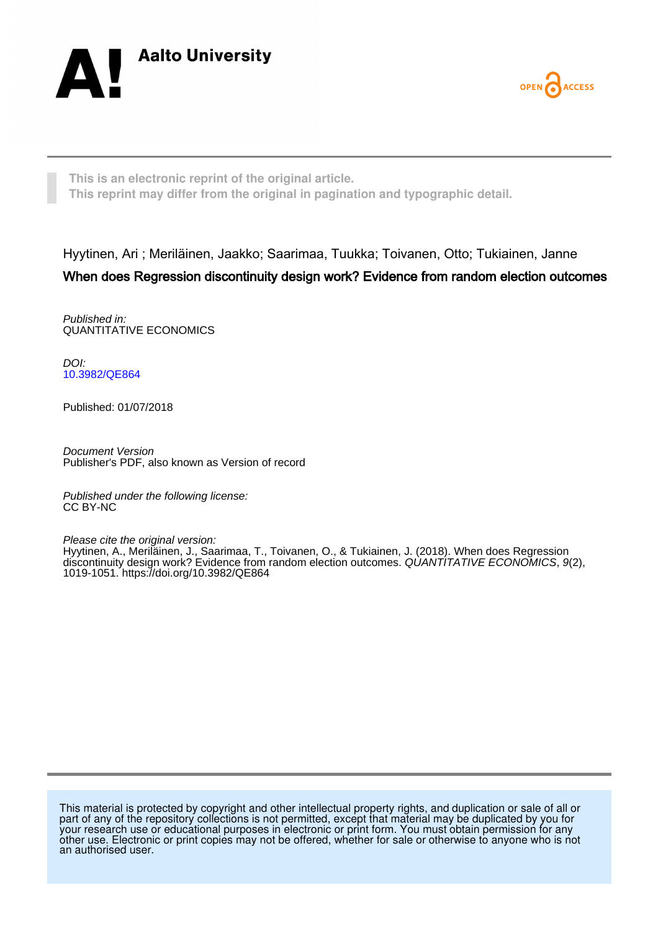



**This is an electronic reprint of the original article. This reprint may differ from the original in pagination and typographic detail.**

Hyytinen, Ari ; Meriläinen, Jaakko; Saarimaa, Tuukka; Toivanen, Otto; Tukiainen, Janne When does Regression discontinuity design work? Evidence from random election outcomes

Published in: QUANTITATIVE ECONOMICS

DOI: [10.3982/QE864](https://doi.org/10.3982/QE864)

Published: 01/07/2018

Document Version Publisher's PDF, also known as Version of record

Published under the following license: CC BY-NC

Please cite the original version:

Hyytinen, A., Meriläinen, J., Saarimaa, T., Toivanen, O., & Tukiainen, J. (2018). When does Regression discontinuity design work? Evidence from random election outcomes. QUANTITATIVE ECONOMICS, 9(2), 1019-1051.<https://doi.org/10.3982/QE864>

This material is protected by copyright and other intellectual property rights, and duplication or sale of all or part of any of the repository collections is not permitted, except that material may be duplicated by you for your research use or educational purposes in electronic or print form. You must obtain permission for any other use. Electronic or print copies may not be offered, whether for sale or otherwise to anyone who is not an authorised user.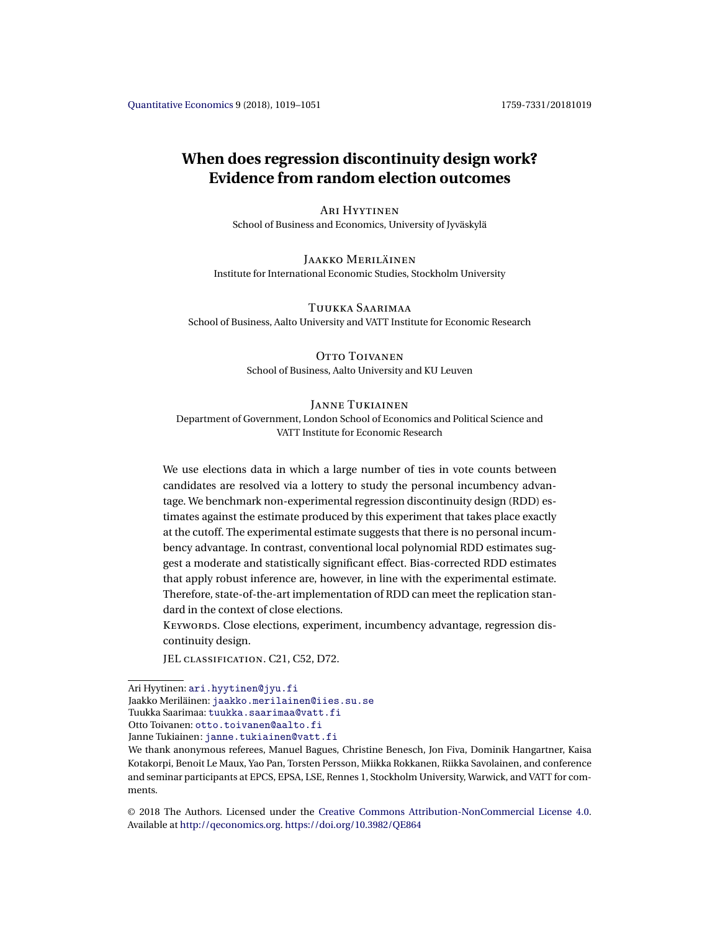# **When does regression discontinuity design work? Evidence from random election outcomes**

Ari Hyytinen School of Business and Economics, University of Jyväskylä

Jaakko Meriläinen Institute for International Economic Studies, Stockholm University

Tuukka Saarimaa School of Business, Aalto University and VATT Institute for Economic Research

> OTTO TOIVANEN School of Business, Aalto University and KU Leuven

## Janne Tukiainen

Department of Government, London School of Economics and Political Science and VATT Institute for Economic Research

We use elections data in which a large number of ties in vote counts between candidates are resolved via a lottery to study the personal incumbency advantage. We benchmark non-experimental regression discontinuity design (RDD) estimates against the estimate produced by this experiment that takes place exactly at the cutoff. The experimental estimate suggests that there is no personal incumbency advantage. In contrast, conventional local polynomial RDD estimates suggest a moderate and statistically significant effect. Bias-corrected RDD estimates that apply robust inference are, however, in line with the experimental estimate. Therefore, state-of-the-art implementation of RDD can meet the replication standard in the context of close elections.

KEYWORDS. Close elections, experiment, incumbency advantage, regression discontinuity design.

JEL classification. C21, C52, D72.

© 2018 The Authors. Licensed under the [Creative Commons Attribution-NonCommercial License 4.0](https://creativecommons.org/licenses/by-nc/4.0/legalcode). Available at <http://qeconomics.org>. <https://doi.org/10.3982/QE864>

Ari Hyytinen: [ari.hyytinen@jyu.fi](mailto:ari.hyytinen@jyu.fi)

Jaakko Meriläinen: [jaakko.merilainen@iies.su.se](mailto:jaakko.merilainen@iies.su.se)

Tuukka Saarimaa: [tuukka.saarimaa@vatt.fi](mailto:tuukka.saarimaa@vatt.fi) Otto Toivanen: [otto.toivanen@aalto.fi](mailto:otto.toivanen@aalto.fi)

Janne Tukiainen: [janne.tukiainen@vatt.fi](mailto:janne.tukiainen@vatt.fi)

We thank anonymous referees, Manuel Bagues, Christine Benesch, Jon Fiva, Dominik Hangartner, Kaisa Kotakorpi, Benoit Le Maux, Yao Pan, Torsten Persson, Miikka Rokkanen, Riikka Savolainen, and conference and seminar participants at EPCS, EPSA, LSE, Rennes 1, Stockholm University, Warwick, and VATT for comments.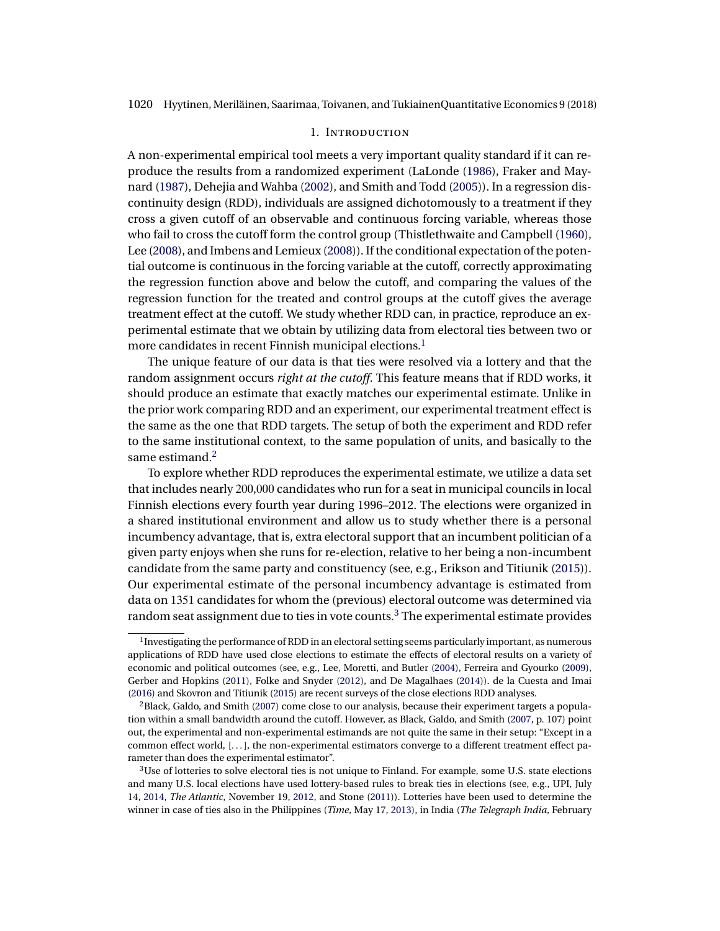## 1. Introduction

<span id="page-2-0"></span>A non-experimental empirical tool meets a very important quality standard if it can reproduce the results from a randomized experiment (LaLonde [\(1986\)](#page-31-0), Fraker and Maynard [\(1987\)](#page-30-0), Dehejia and Wahba [\(2002\)](#page-30-0), and Smith and Todd [\(2005\)](#page-32-0)). In a regression discontinuity design (RDD), individuals are assigned dichotomously to a treatment if they cross a given cutoff of an observable and continuous forcing variable, whereas those who fail to cross the cutoff form the control group (Thistlethwaite and Campbell [\(1960\)](#page-32-0), Lee [\(2008\)](#page-31-0), and Imbens and Lemieux [\(2008\)](#page-31-0)). If the conditional expectation of the potential outcome is continuous in the forcing variable at the cutoff, correctly approximating the regression function above and below the cutoff, and comparing the values of the regression function for the treated and control groups at the cutoff gives the average treatment effect at the cutoff. We study whether RDD can, in practice, reproduce an experimental estimate that we obtain by utilizing data from electoral ties between two or more candidates in recent Finnish municipal elections.<sup>1</sup>

The unique feature of our data is that ties were resolved via a lottery and that the random assignment occurs *right at the cutoff*. This feature means that if RDD works, it should produce an estimate that exactly matches our experimental estimate. Unlike in the prior work comparing RDD and an experiment, our experimental treatment effect is the same as the one that RDD targets. The setup of both the experiment and RDD refer to the same institutional context, to the same population of units, and basically to the same estimand.<sup>2</sup>

To explore whether RDD reproduces the experimental estimate, we utilize a data set that includes nearly 200,000 candidates who run for a seat in municipal councils in local Finnish elections every fourth year during 1996–2012. The elections were organized in a shared institutional environment and allow us to study whether there is a personal incumbency advantage, that is, extra electoral support that an incumbent politician of a given party enjoys when she runs for re-election, relative to her being a non-incumbent candidate from the same party and constituency (see, e.g., Erikson and Titiunik [\(2015\)](#page-30-0)). Our experimental estimate of the personal incumbency advantage is estimated from data on 1351 candidates for whom the (previous) electoral outcome was determined via random seat assignment due to ties in vote counts.<sup>3</sup> The experimental estimate provides

 $<sup>1</sup>$  Investigating the performance of RDD in an electoral setting seems particularly important, as numerous</sup> applications of RDD have used close elections to estimate the effects of electoral results on a variety of economic and political outcomes (see, e.g., Lee, Moretti, and Butler [\(2004\)](#page-31-0), Ferreira and Gyourko [\(2009\)](#page-30-0), Gerber and Hopkins [\(2011\)](#page-30-0), Folke and Snyder [\(2012\)](#page-30-0), and De Magalhaes [\(2014\)](#page-29-0)). de la Cuesta and Imai [\(2016\)](#page-29-0) and Skovron and Titiunik [\(2015\)](#page-32-0) are recent surveys of the close elections RDD analyses.

<sup>2</sup>Black, Galdo, and Smith [\(2007\)](#page-28-0) come close to our analysis, because their experiment targets a population within a small bandwidth around the cutoff. However, as Black, Galdo, and Smith [\(2007,](#page-28-0) p. 107) point out, the experimental and non-experimental estimands are not quite the same in their setup: "Except in a common effect world, [---], the non-experimental estimators converge to a different treatment effect parameter than does the experimental estimator".

 $3$ Use of lotteries to solve electoral ties is not unique to Finland. For example, some U.S. state elections and many U.S. local elections have used lottery-based rules to break ties in elections (see, e.g., UPI, July 14, [2014,](#page-32-0) *The Atlantic*, November 19, [2012,](#page-32-0) and Stone [\(2011\)](#page-32-0)). Lotteries have been used to determine the winner in case of ties also in the Philippines (*Time*, May 17, [2013\)](#page-32-0), in India (*The Telegraph India*, February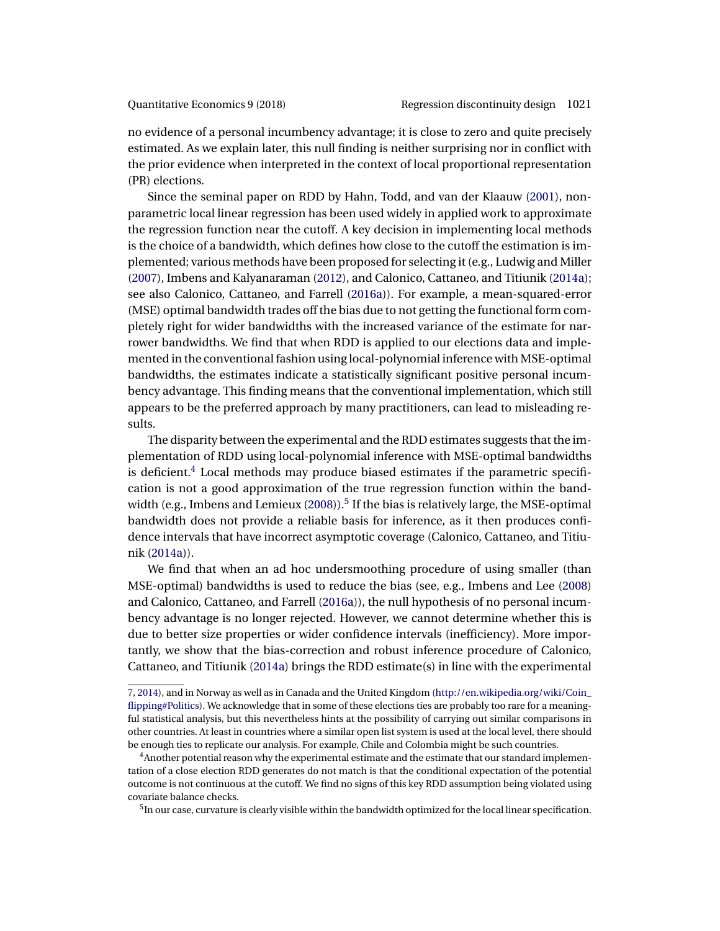<span id="page-3-0"></span>no evidence of a personal incumbency advantage; it is close to zero and quite precisely estimated. As we explain later, this null finding is neither surprising nor in conflict with the prior evidence when interpreted in the context of local proportional representation (PR) elections.

Since the seminal paper on RDD by Hahn, Todd, and van der Klaauw [\(2001\)](#page-31-0), nonparametric local linear regression has been used widely in applied work to approximate the regression function near the cutoff. A key decision in implementing local methods is the choice of a bandwidth, which defines how close to the cutoff the estimation is implemented; various methods have been proposed for selecting it (e.g., Ludwig and Miller [\(2007\)](#page-31-0), Imbens and Kalyanaraman [\(2012\)](#page-31-0), and Calonico, Cattaneo, and Titiunik [\(2014a\)](#page-29-0); see also Calonico, Cattaneo, and Farrell [\(2016a\)](#page-29-0)). For example, a mean-squared-error (MSE) optimal bandwidth trades off the bias due to not getting the functional form completely right for wider bandwidths with the increased variance of the estimate for narrower bandwidths. We find that when RDD is applied to our elections data and implemented in the conventional fashion using local-polynomial inference with MSE-optimal bandwidths, the estimates indicate a statistically significant positive personal incumbency advantage. This finding means that the conventional implementation, which still appears to be the preferred approach by many practitioners, can lead to misleading results.

The disparity between the experimental and the RDD estimates suggests that the implementation of RDD using local-polynomial inference with MSE-optimal bandwidths is deficient. $4$  Local methods may produce biased estimates if the parametric specification is not a good approximation of the true regression function within the bandwidth (e.g., Imbens and Lemieux  $(2008)$ ).<sup>5</sup> If the bias is relatively large, the MSE-optimal bandwidth does not provide a reliable basis for inference, as it then produces confidence intervals that have incorrect asymptotic coverage (Calonico, Cattaneo, and Titiunik [\(2014a\)](#page-29-0)).

We find that when an ad hoc undersmoothing procedure of using smaller (than MSE-optimal) bandwidths is used to reduce the bias (see, e.g., Imbens and Lee [\(2008\)](#page-31-0) and Calonico, Cattaneo, and Farrell [\(2016a\)](#page-29-0)), the null hypothesis of no personal incumbency advantage is no longer rejected. However, we cannot determine whether this is due to better size properties or wider confidence intervals (inefficiency). More importantly, we show that the bias-correction and robust inference procedure of Calonico, Cattaneo, and Titiunik [\(2014a\)](#page-29-0) brings the RDD estimate(s) in line with the experimental

 $5$ In our case, curvature is clearly visible within the bandwidth optimized for the local linear specification.

<sup>7,</sup> [2014\)](#page-32-0), and in Norway as well as in Canada and the United Kingdom [\(http://en.wikipedia.org/wiki/Coin\\_](http://en.wikipedia.org/wiki/Coin_flipping#Politics) [flipping#Politics](http://en.wikipedia.org/wiki/Coin_flipping#Politics)). We acknowledge that in some of these elections ties are probably too rare for a meaningful statistical analysis, but this nevertheless hints at the possibility of carrying out similar comparisons in other countries. At least in countries where a similar open list system is used at the local level, there should be enough ties to replicate our analysis. For example, Chile and Colombia might be such countries.

<sup>4</sup>Another potential reason why the experimental estimate and the estimate that our standard implementation of a close election RDD generates do not match is that the conditional expectation of the potential outcome is not continuous at the cutoff. We find no signs of this key RDD assumption being violated using covariate balance checks.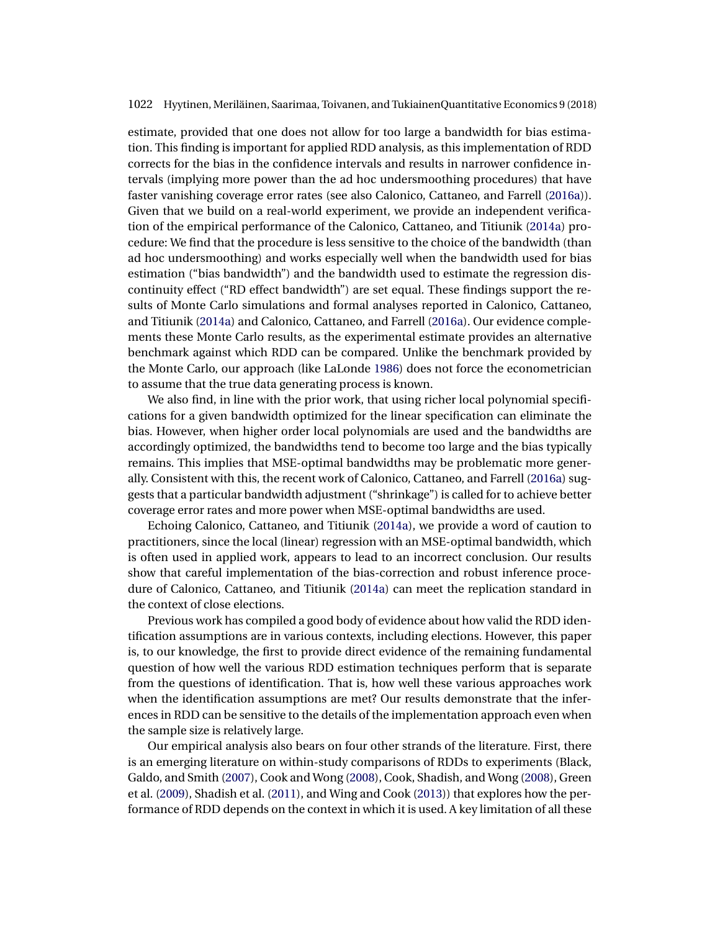<span id="page-4-0"></span>estimate, provided that one does not allow for too large a bandwidth for bias estimation. This finding is important for applied RDD analysis, as this implementation of RDD corrects for the bias in the confidence intervals and results in narrower confidence intervals (implying more power than the ad hoc undersmoothing procedures) that have faster vanishing coverage error rates (see also Calonico, Cattaneo, and Farrell [\(2016a\)](#page-29-0)). Given that we build on a real-world experiment, we provide an independent verification of the empirical performance of the Calonico, Cattaneo, and Titiunik [\(2014a\)](#page-29-0) procedure: We find that the procedure is less sensitive to the choice of the bandwidth (than ad hoc undersmoothing) and works especially well when the bandwidth used for bias estimation ("bias bandwidth") and the bandwidth used to estimate the regression discontinuity effect ("RD effect bandwidth") are set equal. These findings support the results of Monte Carlo simulations and formal analyses reported in Calonico, Cattaneo, and Titiunik [\(2014a\)](#page-29-0) and Calonico, Cattaneo, and Farrell [\(2016a\)](#page-29-0). Our evidence complements these Monte Carlo results, as the experimental estimate provides an alternative benchmark against which RDD can be compared. Unlike the benchmark provided by the Monte Carlo, our approach (like LaLonde [1986\)](#page-31-0) does not force the econometrician to assume that the true data generating process is known.

We also find, in line with the prior work, that using richer local polynomial specifications for a given bandwidth optimized for the linear specification can eliminate the bias. However, when higher order local polynomials are used and the bandwidths are accordingly optimized, the bandwidths tend to become too large and the bias typically remains. This implies that MSE-optimal bandwidths may be problematic more generally. Consistent with this, the recent work of Calonico, Cattaneo, and Farrell [\(2016a\)](#page-29-0) suggests that a particular bandwidth adjustment ("shrinkage") is called for to achieve better coverage error rates and more power when MSE-optimal bandwidths are used.

Echoing Calonico, Cattaneo, and Titiunik [\(2014a\)](#page-29-0), we provide a word of caution to practitioners, since the local (linear) regression with an MSE-optimal bandwidth, which is often used in applied work, appears to lead to an incorrect conclusion. Our results show that careful implementation of the bias-correction and robust inference procedure of Calonico, Cattaneo, and Titiunik [\(2014a\)](#page-29-0) can meet the replication standard in the context of close elections.

Previous work has compiled a good body of evidence about how valid the RDD identification assumptions are in various contexts, including elections. However, this paper is, to our knowledge, the first to provide direct evidence of the remaining fundamental question of how well the various RDD estimation techniques perform that is separate from the questions of identification. That is, how well these various approaches work when the identification assumptions are met? Our results demonstrate that the inferences in RDD can be sensitive to the details of the implementation approach even when the sample size is relatively large.

Our empirical analysis also bears on four other strands of the literature. First, there is an emerging literature on within-study comparisons of RDDs to experiments (Black, Galdo, and Smith [\(2007\)](#page-28-0), Cook and Wong [\(2008\)](#page-29-0), Cook, Shadish, and Wong [\(2008\)](#page-29-0), Green et al. [\(2009\)](#page-31-0), Shadish et al. [\(2011\)](#page-32-0), and Wing and Cook [\(2013\)](#page-32-0)) that explores how the performance of RDD depends on the context in which it is used. A key limitation of all these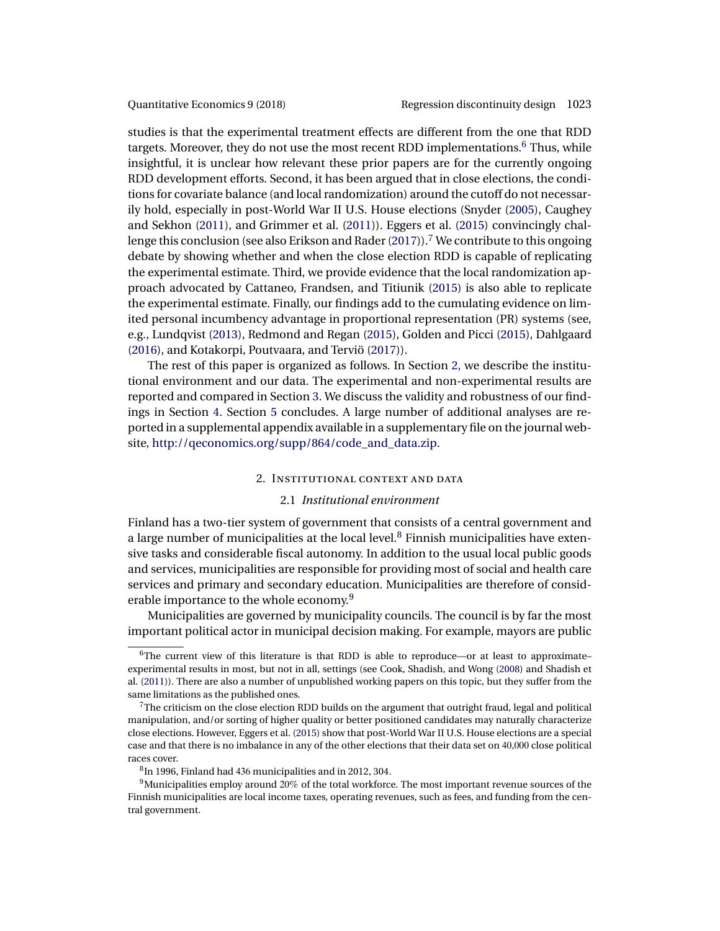<span id="page-5-0"></span>

studies is that the experimental treatment effects are different from the one that RDD targets. Moreover, they do not use the most recent RDD implementations.<sup>6</sup> Thus, while insightful, it is unclear how relevant these prior papers are for the currently ongoing RDD development efforts. Second, it has been argued that in close elections, the conditions for covariate balance (and local randomization) around the cutoff do not necessarily hold, especially in post-World War II U.S. House elections (Snyder [\(2005\)](#page-32-0), Caughey and Sekhon [\(2011\)](#page-29-0), and Grimmer et al. [\(2011\)](#page-31-0)). Eggers et al. [\(2015\)](#page-30-0) convincingly challenge this conclusion (see also Erikson and Rader  $(2017)$ ).<sup>7</sup> We contribute to this ongoing debate by showing whether and when the close election RDD is capable of replicating the experimental estimate. Third, we provide evidence that the local randomization approach advocated by Cattaneo, Frandsen, and Titiunik [\(2015\)](#page-29-0) is also able to replicate the experimental estimate. Finally, our findings add to the cumulating evidence on limited personal incumbency advantage in proportional representation (PR) systems (see, e.g., Lundqvist [\(2013\)](#page-31-0), Redmond and Regan [\(2015\)](#page-32-0), Golden and Picci [\(2015\)](#page-30-0), Dahlgaard [\(2016\)](#page-29-0), and Kotakorpi, Poutvaara, and Terviö [\(2017\)](#page-31-0)).

The rest of this paper is organized as follows. In Section 2, we describe the institutional environment and our data. The experimental and non-experimental results are reported and compared in Section [3.](#page-7-0) We discuss the validity and robustness of our findings in Section [4.](#page-25-0) Section [5](#page-27-0) concludes. A large number of additional analyses are reported in a supplemental appendix available in a supplementary file on the journal website, [http://qeconomics.org/supp/864/code\\_and\\_data.zip.](http://qeconomics.org/supp/864/code_and_data.zip)

## 2. Institutional context and data

## 2.1 *Institutional environment*

Finland has a two-tier system of government that consists of a central government and a large number of municipalities at the local level.<sup>8</sup> Finnish municipalities have extensive tasks and considerable fiscal autonomy. In addition to the usual local public goods and services, municipalities are responsible for providing most of social and health care services and primary and secondary education. Municipalities are therefore of considerable importance to the whole economy.<sup>9</sup>

Municipalities are governed by municipality councils. The council is by far the most important political actor in municipal decision making. For example, mayors are public

 $6$ The current view of this literature is that RDD is able to reproduce—or at least to approximate– experimental results in most, but not in all, settings (see Cook, Shadish, and Wong [\(2008\)](#page-29-0) and Shadish et al. [\(2011\)](#page-32-0)). There are also a number of unpublished working papers on this topic, but they suffer from the same limitations as the published ones.

 $7$ The criticism on the close election RDD builds on the argument that outright fraud, legal and political manipulation, and/or sorting of higher quality or better positioned candidates may naturally characterize close elections. However, Eggers et al. [\(2015\)](#page-30-0) show that post-World War II U.S. House elections are a special case and that there is no imbalance in any of the other elections that their data set on 40,000 close political races cover.

<sup>8</sup>In 1996, Finland had 436 municipalities and in 2012, 304.

<sup>9</sup>Municipalities employ around 20% of the total workforce. The most important revenue sources of the Finnish municipalities are local income taxes, operating revenues, such as fees, and funding from the central government.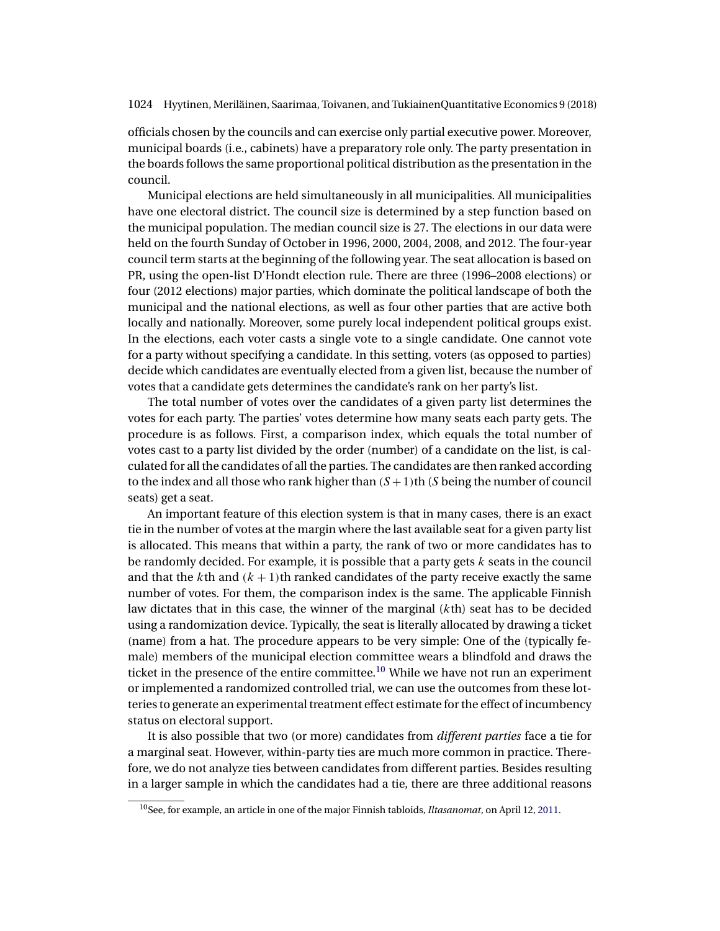<span id="page-6-0"></span>officials chosen by the councils and can exercise only partial executive power. Moreover, municipal boards (i.e., cabinets) have a preparatory role only. The party presentation in the boards follows the same proportional political distribution as the presentation in the council.

Municipal elections are held simultaneously in all municipalities. All municipalities have one electoral district. The council size is determined by a step function based on the municipal population. The median council size is 27. The elections in our data were held on the fourth Sunday of October in 1996, 2000, 2004, 2008, and 2012. The four-year council term starts at the beginning of the following year. The seat allocation is based on PR, using the open-list D'Hondt election rule. There are three (1996–2008 elections) or four (2012 elections) major parties, which dominate the political landscape of both the municipal and the national elections, as well as four other parties that are active both locally and nationally. Moreover, some purely local independent political groups exist. In the elections, each voter casts a single vote to a single candidate. One cannot vote for a party without specifying a candidate. In this setting, voters (as opposed to parties) decide which candidates are eventually elected from a given list, because the number of votes that a candidate gets determines the candidate's rank on her party's list.

The total number of votes over the candidates of a given party list determines the votes for each party. The parties' votes determine how many seats each party gets. The procedure is as follows. First, a comparison index, which equals the total number of votes cast to a party list divided by the order (number) of a candidate on the list, is calculated for all the candidates of all the parties. The candidates are then ranked according to the index and all those who rank higher than  $(S + 1)$ th (S being the number of council seats) get a seat.

An important feature of this election system is that in many cases, there is an exact tie in the number of votes at the margin where the last available seat for a given party list is allocated. This means that within a party, the rank of two or more candidates has to be randomly decided. For example, it is possible that a party gets  $k$  seats in the council and that the kth and  $(k + 1)$ th ranked candidates of the party receive exactly the same number of votes. For them, the comparison index is the same. The applicable Finnish law dictates that in this case, the winner of the marginal  $(kth)$  seat has to be decided using a randomization device. Typically, the seat is literally allocated by drawing a ticket (name) from a hat. The procedure appears to be very simple: One of the (typically female) members of the municipal election committee wears a blindfold and draws the ticket in the presence of the entire committee.<sup>10</sup> While we have not run an experiment or implemented a randomized controlled trial, we can use the outcomes from these lotteries to generate an experimental treatment effect estimate for the effect of incumbency status on electoral support.

It is also possible that two (or more) candidates from *different parties* face a tie for a marginal seat. However, within-party ties are much more common in practice. Therefore, we do not analyze ties between candidates from different parties. Besides resulting in a larger sample in which the candidates had a tie, there are three additional reasons

<sup>10</sup>See, for example, an article in one of the major Finnish tabloids, *Iltasanomat*, on April 12, [2011.](#page-31-0)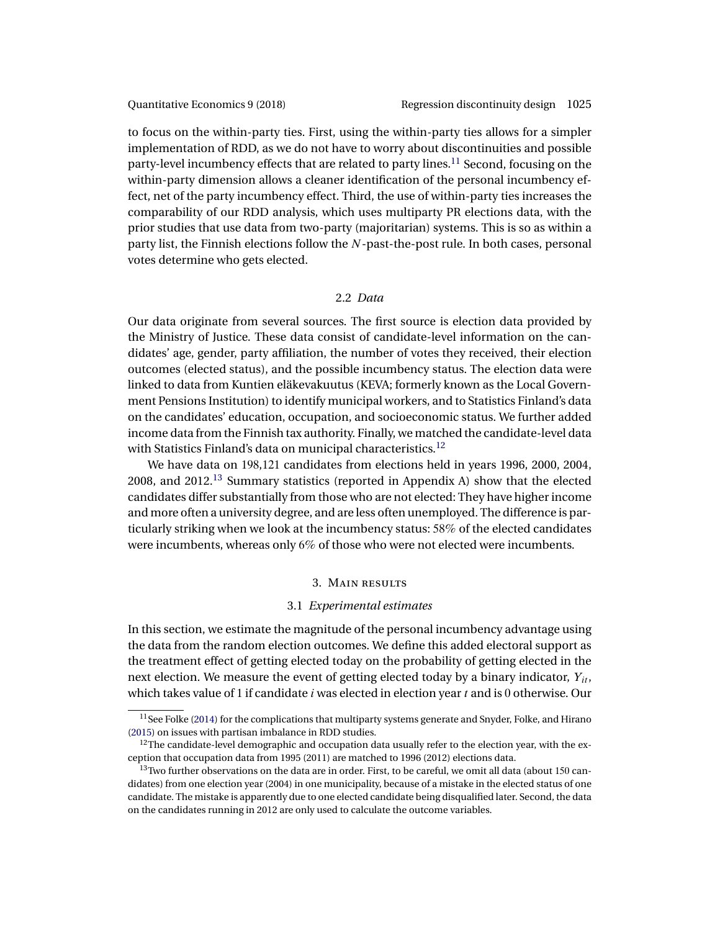<span id="page-7-0"></span>to focus on the within-party ties. First, using the within-party ties allows for a simpler implementation of RDD, as we do not have to worry about discontinuities and possible party-level incumbency effects that are related to party lines.<sup>11</sup> Second, focusing on the within-party dimension allows a cleaner identification of the personal incumbency effect, net of the party incumbency effect. Third, the use of within-party ties increases the comparability of our RDD analysis, which uses multiparty PR elections data, with the prior studies that use data from two-party (majoritarian) systems. This is so as within a party list, the Finnish elections follow the N-past-the-post rule. In both cases, personal votes determine who gets elected.

## 2.2 *Data*

Our data originate from several sources. The first source is election data provided by the Ministry of Justice. These data consist of candidate-level information on the candidates' age, gender, party affiliation, the number of votes they received, their election outcomes (elected status), and the possible incumbency status. The election data were linked to data from Kuntien eläkevakuutus (KEVA; formerly known as the Local Government Pensions Institution) to identify municipal workers, and to Statistics Finland's data on the candidates' education, occupation, and socioeconomic status. We further added income data from the Finnish tax authority. Finally, we matched the candidate-level data with Statistics Finland's data on municipal characteristics.<sup>12</sup>

We have data on 198,121 candidates from elections held in years 1996, 2000, 2004, 2008, and 2012.<sup>13</sup> Summary statistics (reported in Appendix A) show that the elected candidates differ substantially from those who are not elected: They have higher income and more often a university degree, and are less often unemployed. The difference is particularly striking when we look at the incumbency status: 58% of the elected candidates were incumbents, whereas only 6% of those who were not elected were incumbents.

#### 3. Main results

## 3.1 *Experimental estimates*

In this section, we estimate the magnitude of the personal incumbency advantage using the data from the random election outcomes. We define this added electoral support as the treatment effect of getting elected today on the probability of getting elected in the next election. We measure the event of getting elected today by a binary indicator,  $Y_{it}$ , which takes value of 1 if candidate *i* was elected in election year  $t$  and is 0 otherwise. Our

 $11$ See Folke [\(2014\)](#page-30-0) for the complications that multiparty systems generate and Snyder, Folke, and Hirano [\(2015\)](#page-32-0) on issues with partisan imbalance in RDD studies.

 $12$ The candidate-level demographic and occupation data usually refer to the election year, with the exception that occupation data from 1995 (2011) are matched to 1996 (2012) elections data.

 $13$ Two further observations on the data are in order. First, to be careful, we omit all data (about 150 candidates) from one election year (2004) in one municipality, because of a mistake in the elected status of one candidate. The mistake is apparently due to one elected candidate being disqualified later. Second, the data on the candidates running in 2012 are only used to calculate the outcome variables.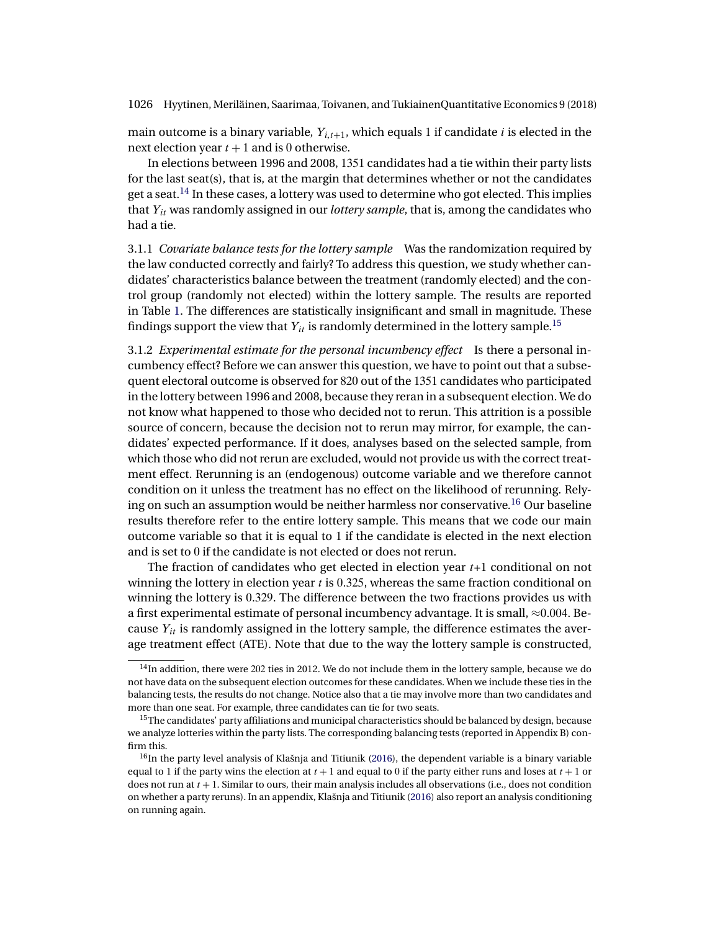<span id="page-8-0"></span>main outcome is a binary variable,  $Y_{i,t+1}$ , which equals 1 if candidate *i* is elected in the next election year  $t + 1$  and is 0 otherwise.

In elections between 1996 and 2008, 1351 candidates had a tie within their party lists for the last seat(s), that is, at the margin that determines whether or not the candidates get a seat.<sup>14</sup> In these cases, a lottery was used to determine who got elected. This implies that  $Y_{it}$  was randomly assigned in our *lottery sample*, that is, among the candidates who had a tie.

3.1.1 *Covariate balance tests for the lottery sample* Was the randomization required by the law conducted correctly and fairly? To address this question, we study whether candidates' characteristics balance between the treatment (randomly elected) and the control group (randomly not elected) within the lottery sample. The results are reported in Table [1.](#page-9-0) The differences are statistically insignificant and small in magnitude. These findings support the view that  $Y_{it}$  is randomly determined in the lottery sample.<sup>15</sup>

3.1.2 *Experimental estimate for the personal incumbency effect* Is there a personal incumbency effect? Before we can answer this question, we have to point out that a subsequent electoral outcome is observed for 820 out of the 1351 candidates who participated in the lottery between 1996 and 2008, because they reran in a subsequent election. We do not know what happened to those who decided not to rerun. This attrition is a possible source of concern, because the decision not to rerun may mirror, for example, the candidates' expected performance. If it does, analyses based on the selected sample, from which those who did not rerun are excluded, would not provide us with the correct treatment effect. Rerunning is an (endogenous) outcome variable and we therefore cannot condition on it unless the treatment has no effect on the likelihood of rerunning. Relying on such an assumption would be neither harmless nor conservative.<sup>16</sup> Our baseline results therefore refer to the entire lottery sample. This means that we code our main outcome variable so that it is equal to 1 if the candidate is elected in the next election and is set to 0 if the candidate is not elected or does not rerun.

The fraction of candidates who get elected in election year t+1 conditional on not winning the lottery in election year  $t$  is 0.325, whereas the same fraction conditional on winning the lottery is 0-329. The difference between the two fractions provides us with a first experimental estimate of personal incumbency advantage. It is small,  $\approx$ 0.004. Because  $Y_{it}$  is randomly assigned in the lottery sample, the difference estimates the average treatment effect (ATE). Note that due to the way the lottery sample is constructed,

 $14$ In addition, there were 202 ties in 2012. We do not include them in the lottery sample, because we do not have data on the subsequent election outcomes for these candidates. When we include these ties in the balancing tests, the results do not change. Notice also that a tie may involve more than two candidates and more than one seat. For example, three candidates can tie for two seats.

 $15$ The candidates' party affiliations and municipal characteristics should be balanced by design, because we analyze lotteries within the party lists. The corresponding balancing tests (reported in Appendix B) confirm this.

 $16$ In the party level analysis of Klašnja and Titiunik [\(2016\)](#page-31-0), the dependent variable is a binary variable equal to 1 if the party wins the election at  $t + 1$  and equal to 0 if the party either runs and loses at  $t + 1$  or does not run at  $t + 1$ . Similar to ours, their main analysis includes all observations (i.e., does not condition on whether a party reruns). In an appendix, Klašnja and Titiunik [\(2016\)](#page-31-0) also report an analysis conditioning on running again.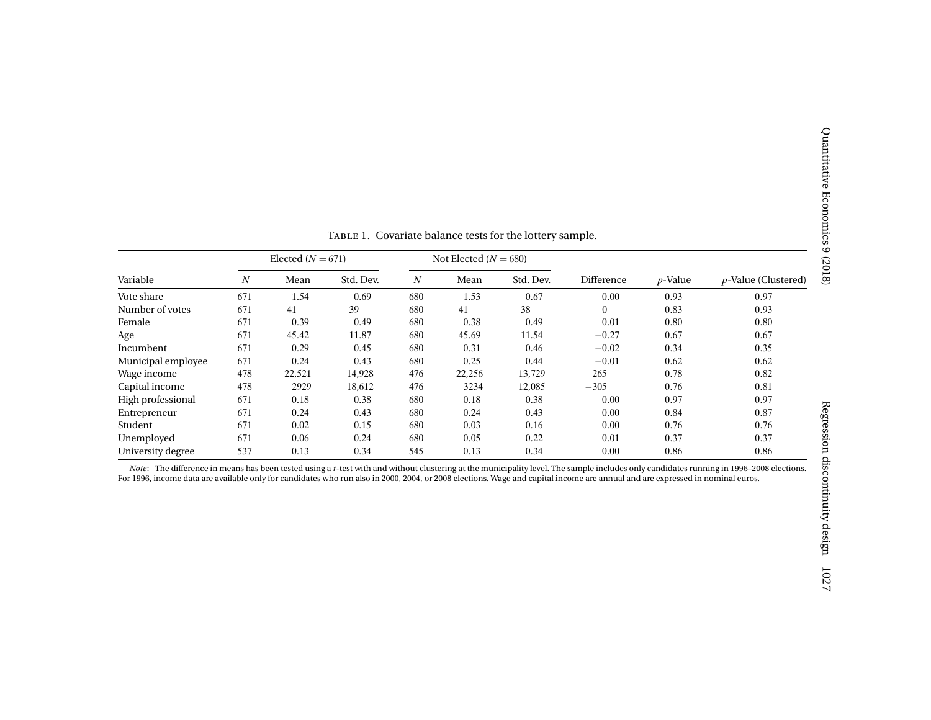<span id="page-9-0"></span>

|                    | Elected $(N = 671)$ |        |           |                  | Not Elected ( $N = 680$ ) |           |            |            |                     |
|--------------------|---------------------|--------|-----------|------------------|---------------------------|-----------|------------|------------|---------------------|
| Variable           | $\boldsymbol{N}$    | Mean   | Std. Dev. | $\boldsymbol{N}$ | Mean                      | Std. Dev. | Difference | $p$ -Value | p-Value (Clustered) |
| Vote share         | 671                 | 1.54   | 0.69      | 680              | 1.53                      | 0.67      | 0.00       | 0.93       | 0.97                |
| Number of votes    | 671                 | 41     | 39        | 680              | 41                        | 38        | 0          | 0.83       | 0.93                |
| Female             | 671                 | 0.39   | 0.49      | 680              | 0.38                      | 0.49      | $0.01\,$   | $0.80\,$   | 0.80                |
| Age                | 671                 | 45.42  | 11.87     | 680              | 45.69                     | 11.54     | $-0.27$    | 0.67       | 0.67                |
| Incumbent          | 671                 | 0.29   | 0.45      | 680              | 0.31                      | 0.46      | $-0.02$    | 0.34       | 0.35                |
| Municipal employee | 671                 | 0.24   | 0.43      | 680              | 0.25                      | 0.44      | $-0.01$    | 0.62       | 0.62                |
| Wage income        | 478                 | 22,521 | 14,928    | 476              | 22,256                    | 13,729    | 265        | 0.78       | 0.82                |
| Capital income     | 478                 | 2929   | 18,612    | 476              | 3234                      | 12,085    | $-305$     | 0.76       | 0.81                |
| High professional  | 671                 | 0.18   | 0.38      | 680              | 0.18                      | 0.38      | 0.00       | 0.97       | 0.97                |
| Entrepreneur       | 671                 | 0.24   | 0.43      | 680              | 0.24                      | 0.43      | 0.00       | 0.84       | 0.87                |
| Student            | 671                 | 0.02   | 0.15      | 680              | 0.03                      | 0.16      | 0.00       | 0.76       | 0.76                |
| Unemployed         | 671                 | 0.06   | 0.24      | 680              | 0.05                      | 0.22      | 0.01       | 0.37       | 0.37                |
| University degree  | 537                 | 0.13   | 0.34      | 545              | 0.13                      | 0.34      | 0.00       | 0.86       | 0.86                |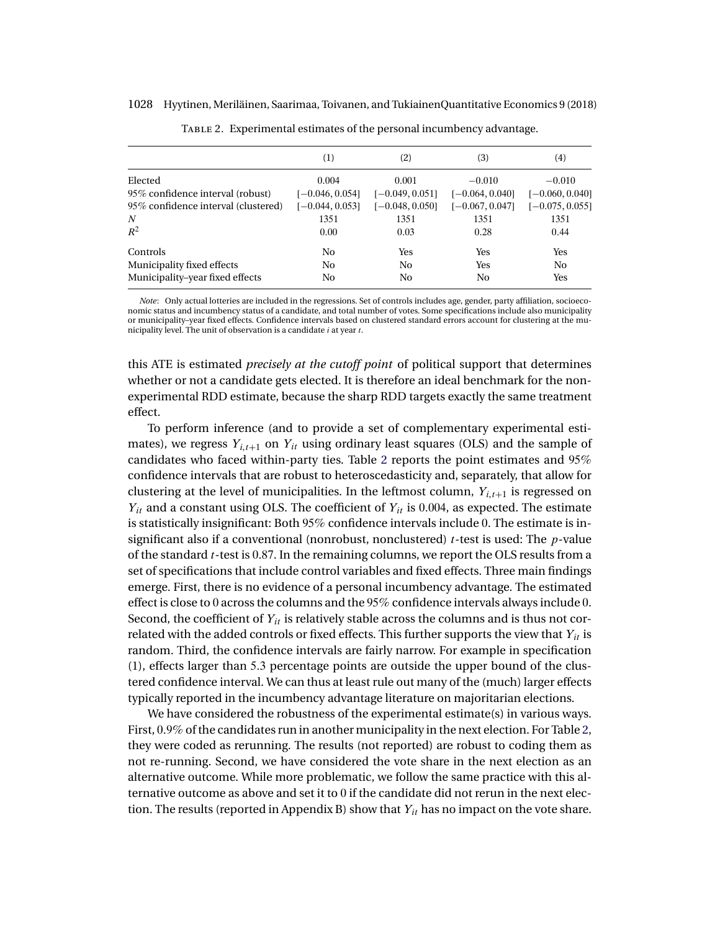<span id="page-10-0"></span>

| $\left(1\right)$  | (2)               | (3)               | (4)               |
|-------------------|-------------------|-------------------|-------------------|
| 0.004             | 0.001             | $-0.010$          | $-0.010$          |
| $[-0.046, 0.054]$ | $[-0.049, 0.051]$ | $[-0.064, 0.040]$ | $[-0.060, 0.040]$ |
| $[-0.044, 0.053]$ | $[-0.048, 0.050]$ | $[-0.067, 0.047]$ | $[-0.075, 0.055]$ |
| 1351              | 1351              | 1351              | 1351              |
| 0.00              | 0.03              | 0.28              | 0.44              |
| No                | Yes               | Yes               | Yes               |
| No                | No                | <b>Yes</b>        | No                |
| No                | No                | No                | Yes               |
|                   |                   |                   |                   |

|  | TABLE 2. Experimental estimates of the personal incumbency advantage. |  |
|--|-----------------------------------------------------------------------|--|
|  |                                                                       |  |

*Note*: Only actual lotteries are included in the regressions. Set of controls includes age, gender, party affiliation, socioeconomic status and incumbency status of a candidate, and total number of votes. Some specifications include also municipality or municipality–year fixed effects. Confidence intervals based on clustered standard errors account for clustering at the municipality level. The unit of observation is a candidate  $i$  at year  $t$ .

this ATE is estimated *precisely at the cutoff point* of political support that determines whether or not a candidate gets elected. It is therefore an ideal benchmark for the nonexperimental RDD estimate, because the sharp RDD targets exactly the same treatment effect.

To perform inference (and to provide a set of complementary experimental estimates), we regress  $Y_{i,t+1}$  on  $Y_{it}$  using ordinary least squares (OLS) and the sample of candidates who faced within-party ties. Table 2 reports the point estimates and 95% confidence intervals that are robust to heteroscedasticity and, separately, that allow for clustering at the level of municipalities. In the leftmost column,  $Y_{i,t+1}$  is regressed on  $Y_{it}$  and a constant using OLS. The coefficient of  $Y_{it}$  is 0.004, as expected. The estimate is statistically insignificant: Both 95% confidence intervals include 0. The estimate is insignificant also if a conventional (nonrobust, nonclustered)  $t$ -test is used: The  $p$ -value of the standard  $\it t$ -test is  $0.87.$  In the remaining columns, we report the OLS results from a set of specifications that include control variables and fixed effects. Three main findings emerge. First, there is no evidence of a personal incumbency advantage. The estimated effect is close to 0 across the columns and the 95% confidence intervals always include 0. Second, the coefficient of  $Y_{it}$  is relatively stable across the columns and is thus not correlated with the added controls or fixed effects. This further supports the view that  $Y_{it}$  is random. Third, the confidence intervals are fairly narrow. For example in specification (1), effects larger than 5-3 percentage points are outside the upper bound of the clustered confidence interval. We can thus at least rule out many of the (much) larger effects typically reported in the incumbency advantage literature on majoritarian elections.

We have considered the robustness of the experimental estimate(s) in various ways. First,  $0.9\%$  of the candidates run in another municipality in the next election. For Table 2, they were coded as rerunning. The results (not reported) are robust to coding them as not re-running. Second, we have considered the vote share in the next election as an alternative outcome. While more problematic, we follow the same practice with this alternative outcome as above and set it to 0 if the candidate did not rerun in the next election. The results (reported in Appendix B) show that  $Y_{it}$  has no impact on the vote share.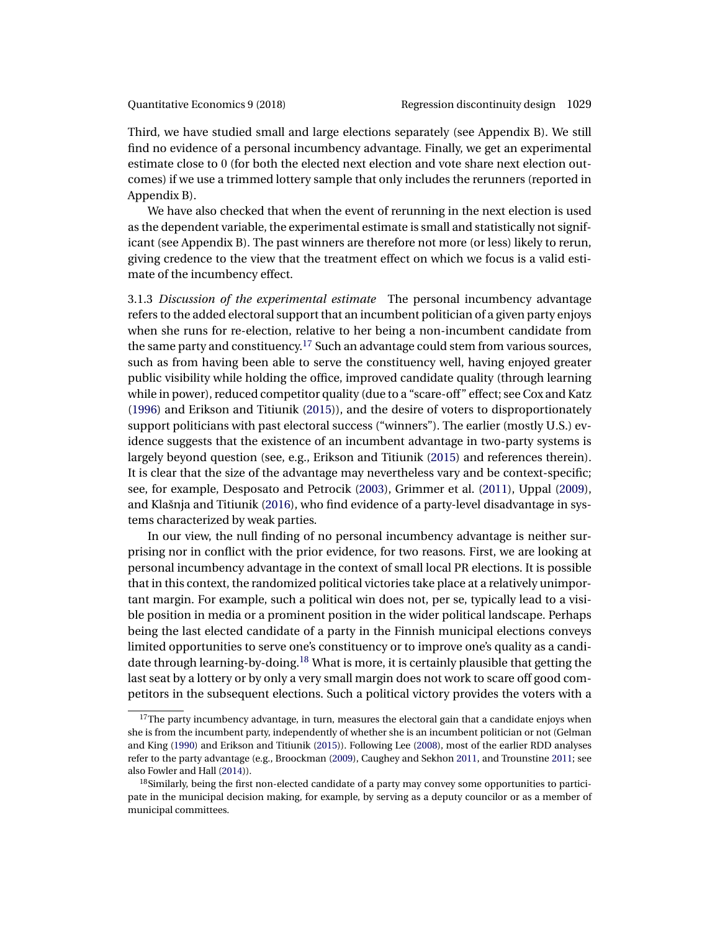<span id="page-11-0"></span>Third, we have studied small and large elections separately (see Appendix B). We still find no evidence of a personal incumbency advantage. Finally, we get an experimental estimate close to 0 (for both the elected next election and vote share next election outcomes) if we use a trimmed lottery sample that only includes the rerunners (reported in Appendix B).

We have also checked that when the event of rerunning in the next election is used as the dependent variable, the experimental estimate is small and statistically not significant (see Appendix B). The past winners are therefore not more (or less) likely to rerun, giving credence to the view that the treatment effect on which we focus is a valid estimate of the incumbency effect.

3.1.3 *Discussion of the experimental estimate* The personal incumbency advantage refers to the added electoral support that an incumbent politician of a given party enjoys when she runs for re-election, relative to her being a non-incumbent candidate from the same party and constituency.<sup>17</sup> Such an advantage could stem from various sources, such as from having been able to serve the constituency well, having enjoyed greater public visibility while holding the office, improved candidate quality (through learning while in power), reduced competitor quality (due to a "scare-off" effect; see Cox and Katz [\(1996\)](#page-29-0) and Erikson and Titiunik [\(2015\)](#page-30-0)), and the desire of voters to disproportionately support politicians with past electoral success ("winners"). The earlier (mostly U.S.) evidence suggests that the existence of an incumbent advantage in two-party systems is largely beyond question (see, e.g., Erikson and Titiunik [\(2015\)](#page-30-0) and references therein). It is clear that the size of the advantage may nevertheless vary and be context-specific; see, for example, Desposato and Petrocik [\(2003\)](#page-30-0), Grimmer et al. [\(2011\)](#page-31-0), Uppal [\(2009\)](#page-32-0), and Klašnja and Titiunik [\(2016\)](#page-31-0), who find evidence of a party-level disadvantage in systems characterized by weak parties.

In our view, the null finding of no personal incumbency advantage is neither surprising nor in conflict with the prior evidence, for two reasons. First, we are looking at personal incumbency advantage in the context of small local PR elections. It is possible that in this context, the randomized political victories take place at a relatively unimportant margin. For example, such a political win does not, per se, typically lead to a visible position in media or a prominent position in the wider political landscape. Perhaps being the last elected candidate of a party in the Finnish municipal elections conveys limited opportunities to serve one's constituency or to improve one's quality as a candidate through learning-by-doing.<sup>18</sup> What is more, it is certainly plausible that getting the last seat by a lottery or by only a very small margin does not work to scare off good competitors in the subsequent elections. Such a political victory provides the voters with a

 $17$ The party incumbency advantage, in turn, measures the electoral gain that a candidate enjoys when she is from the incumbent party, independently of whether she is an incumbent politician or not (Gelman and King [\(1990\)](#page-30-0) and Erikson and Titiunik [\(2015\)](#page-30-0)). Following Lee [\(2008\)](#page-31-0), most of the earlier RDD analyses refer to the party advantage (e.g., Broockman [\(2009\)](#page-28-0), Caughey and Sekhon [2011,](#page-29-0) and Trounstine [2011;](#page-32-0) see also Fowler and Hall [\(2014\)](#page-30-0)).

 $18$ Similarly, being the first non-elected candidate of a party may convey some opportunities to participate in the municipal decision making, for example, by serving as a deputy councilor or as a member of municipal committees.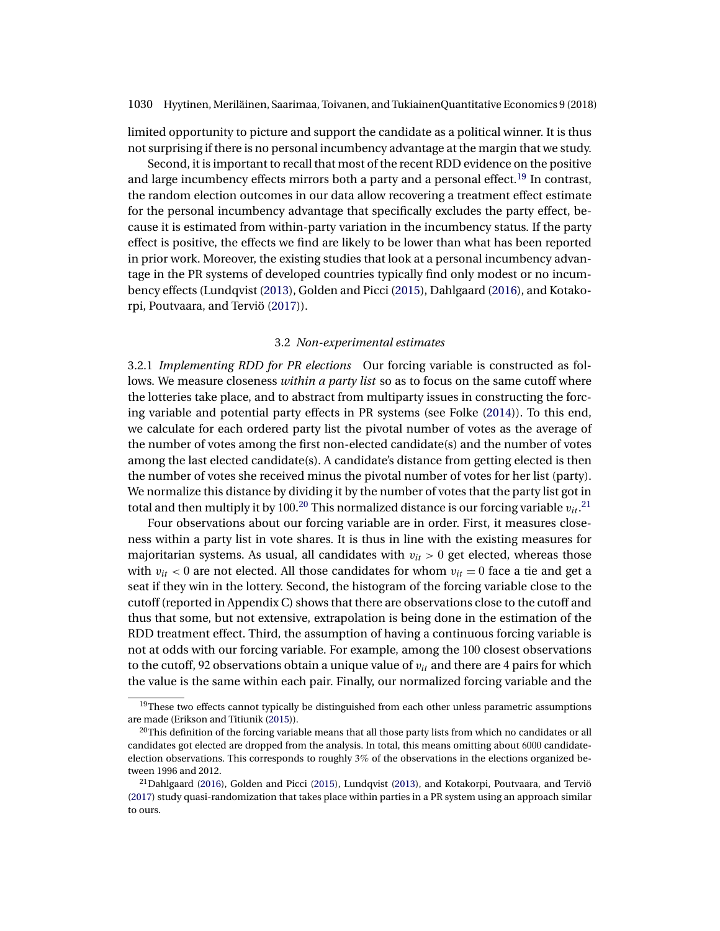<span id="page-12-0"></span>limited opportunity to picture and support the candidate as a political winner. It is thus not surprising if there is no personal incumbency advantage at the margin that we study.

Second, it is important to recall that most of the recent RDD evidence on the positive and large incumbency effects mirrors both a party and a personal effect.<sup>19</sup> In contrast, the random election outcomes in our data allow recovering a treatment effect estimate for the personal incumbency advantage that specifically excludes the party effect, because it is estimated from within-party variation in the incumbency status. If the party effect is positive, the effects we find are likely to be lower than what has been reported in prior work. Moreover, the existing studies that look at a personal incumbency advantage in the PR systems of developed countries typically find only modest or no incumbency effects (Lundqvist [\(2013\)](#page-31-0), Golden and Picci [\(2015\)](#page-30-0), Dahlgaard [\(2016\)](#page-29-0), and Kotakorpi, Poutvaara, and Terviö [\(2017\)](#page-31-0)).

## 3.2 *Non-experimental estimates*

3.2.1 *Implementing RDD for PR elections* Our forcing variable is constructed as follows. We measure closeness *within a party list* so as to focus on the same cutoff where the lotteries take place, and to abstract from multiparty issues in constructing the forcing variable and potential party effects in PR systems (see Folke [\(2014\)](#page-30-0)). To this end, we calculate for each ordered party list the pivotal number of votes as the average of the number of votes among the first non-elected candidate(s) and the number of votes among the last elected candidate(s). A candidate's distance from getting elected is then the number of votes she received minus the pivotal number of votes for her list (party). We normalize this distance by dividing it by the number of votes that the party list got in total and then multiply it by 100. $^{20}$  This normalized distance is our forcing variable  $v_{it}.^{\rm 21}$ 

Four observations about our forcing variable are in order. First, it measures closeness within a party list in vote shares. It is thus in line with the existing measures for majoritarian systems. As usual, all candidates with  $v_{it} > 0$  get elected, whereas those with  $v_{it}$  < 0 are not elected. All those candidates for whom  $v_{it} = 0$  face a tie and get a seat if they win in the lottery. Second, the histogram of the forcing variable close to the cutoff (reported in Appendix C) shows that there are observations close to the cutoff and thus that some, but not extensive, extrapolation is being done in the estimation of the RDD treatment effect. Third, the assumption of having a continuous forcing variable is not at odds with our forcing variable. For example, among the 100 closest observations to the cutoff, 92 observations obtain a unique value of  $v_{it}$  and there are 4 pairs for which the value is the same within each pair. Finally, our normalized forcing variable and the

<sup>&</sup>lt;sup>19</sup>These two effects cannot typically be distinguished from each other unless parametric assumptions are made (Erikson and Titiunik [\(2015\)](#page-30-0)).

 $^{20}$ This definition of the forcing variable means that all those party lists from which no candidates or all candidates got elected are dropped from the analysis. In total, this means omitting about 6000 candidateelection observations. This corresponds to roughly 3% of the observations in the elections organized between 1996 and 2012.

 $^{21}$ Dahlgaard [\(2016\)](#page-29-0), Golden and Picci [\(2015\)](#page-30-0), Lundqvist [\(2013\)](#page-31-0), and Kotakorpi, Poutvaara, and Terviö [\(2017\)](#page-31-0) study quasi-randomization that takes place within parties in a PR system using an approach similar to ours.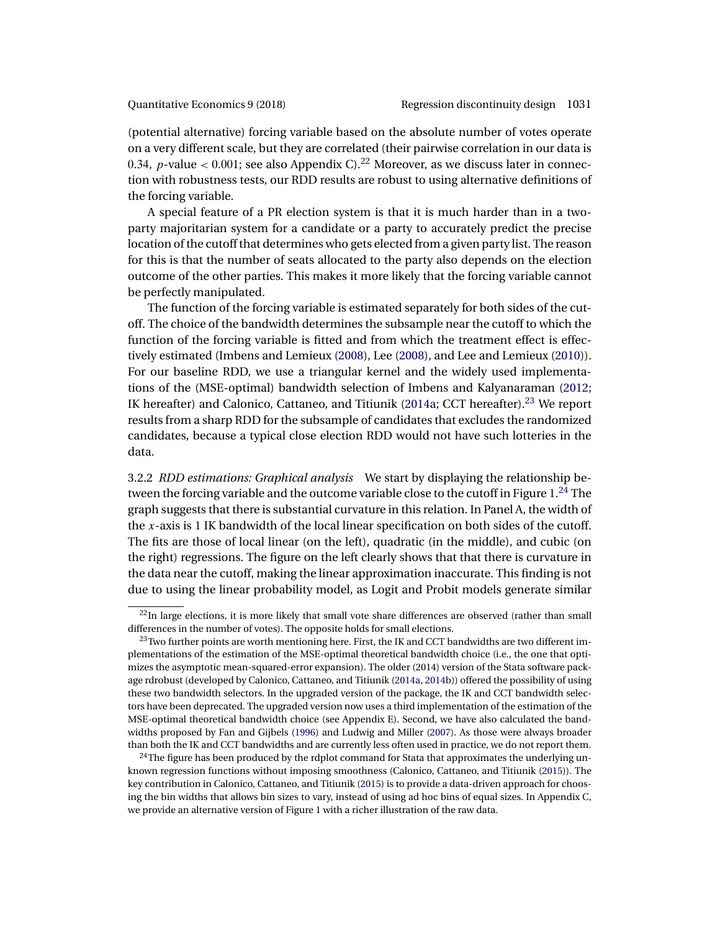<span id="page-13-0"></span>(potential alternative) forcing variable based on the absolute number of votes operate on a very different scale, but they are correlated (their pairwise correlation in our data is 0.34, *p*-value < 0.001; see also Appendix C).<sup>22</sup> Moreover, as we discuss later in connection with robustness tests, our RDD results are robust to using alternative definitions of the forcing variable.

A special feature of a PR election system is that it is much harder than in a twoparty majoritarian system for a candidate or a party to accurately predict the precise location of the cutoff that determines who gets elected from a given party list. The reason for this is that the number of seats allocated to the party also depends on the election outcome of the other parties. This makes it more likely that the forcing variable cannot be perfectly manipulated.

The function of the forcing variable is estimated separately for both sides of the cutoff. The choice of the bandwidth determines the subsample near the cutoff to which the function of the forcing variable is fitted and from which the treatment effect is effectively estimated (Imbens and Lemieux [\(2008\)](#page-31-0), Lee [\(2008\)](#page-31-0), and Lee and Lemieux [\(2010\)](#page-31-0)). For our baseline RDD, we use a triangular kernel and the widely used implementations of the (MSE-optimal) bandwidth selection of Imbens and Kalyanaraman [\(2012;](#page-31-0) IK hereafter) and Calonico, Cattaneo, and Titiunik [\(2014a;](#page-29-0) CCT hereafter).<sup>23</sup> We report results from a sharp RDD for the subsample of candidates that excludes the randomized candidates, because a typical close election RDD would not have such lotteries in the data.

3.2.2 *RDD estimations: Graphical analysis* We start by displaying the relationship be-tween the forcing variable and the outcome variable close to the cutoff in Figure [1.](#page-14-0)<sup>24</sup> The graph suggests that there is substantial curvature in this relation. In Panel A, the width of the x-axis is 1 IK bandwidth of the local linear specification on both sides of the cutoff. The fits are those of local linear (on the left), quadratic (in the middle), and cubic (on the right) regressions. The figure on the left clearly shows that that there is curvature in the data near the cutoff, making the linear approximation inaccurate. This finding is not due to using the linear probability model, as Logit and Probit models generate similar

 $22$ In large elections, it is more likely that small vote share differences are observed (rather than small differences in the number of votes). The opposite holds for small elections.

 $^{23}$ Two further points are worth mentioning here. First, the IK and CCT bandwidths are two different implementations of the estimation of the MSE-optimal theoretical bandwidth choice (i.e., the one that optimizes the asymptotic mean-squared-error expansion). The older (2014) version of the Stata software package rdrobust (developed by Calonico, Cattaneo, and Titiunik [\(2014a, 2014b\)](#page-29-0)) offered the possibility of using these two bandwidth selectors. In the upgraded version of the package, the IK and CCT bandwidth selectors have been deprecated. The upgraded version now uses a third implementation of the estimation of the MSE-optimal theoretical bandwidth choice (see Appendix E). Second, we have also calculated the bandwidths proposed by Fan and Gijbels [\(1996\)](#page-30-0) and Ludwig and Miller [\(2007\)](#page-31-0). As those were always broader than both the IK and CCT bandwidths and are currently less often used in practice, we do not report them.

 $24$ The figure has been produced by the rdplot command for Stata that approximates the underlying unknown regression functions without imposing smoothness (Calonico, Cattaneo, and Titiunik [\(2015\)](#page-29-0)). The key contribution in Calonico, Cattaneo, and Titiunik [\(2015\)](#page-29-0) is to provide a data-driven approach for choosing the bin widths that allows bin sizes to vary, instead of using ad hoc bins of equal sizes. In Appendix C, we provide an alternative version of Figure [1](#page-14-0) with a richer illustration of the raw data.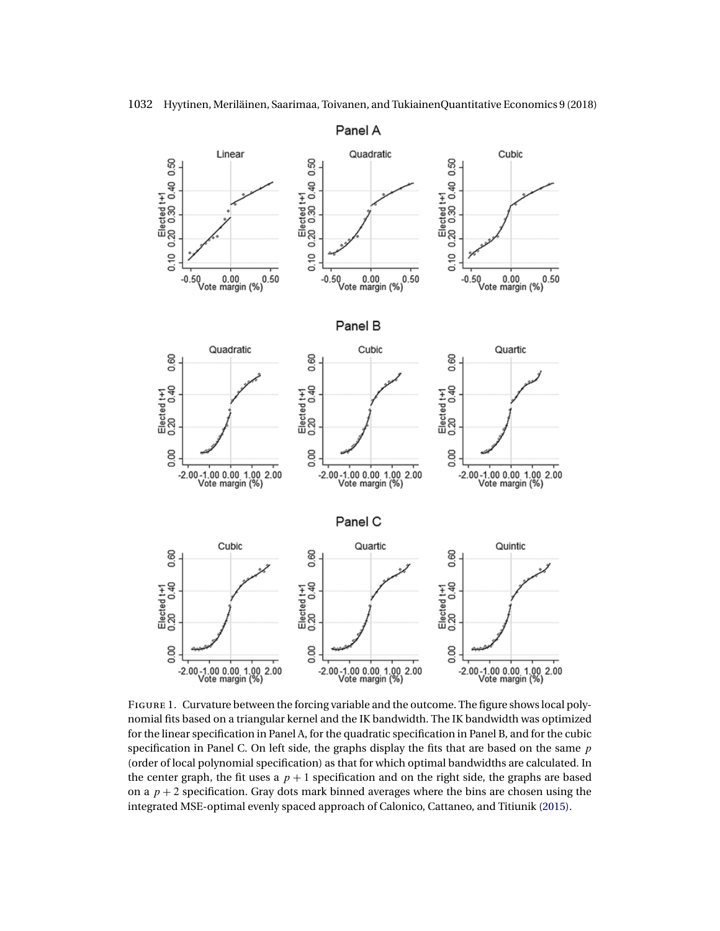<span id="page-14-0"></span>

Figure 1. Curvature between the forcing variable and the outcome. The figure shows local polynomial fits based on a triangular kernel and the IK bandwidth. The IK bandwidth was optimized for the linear specification in Panel A, for the quadratic specification in Panel B, and for the cubic specification in Panel C. On left side, the graphs display the fits that are based on the same  $p$ (order of local polynomial specification) as that for which optimal bandwidths are calculated. In the center graph, the fit uses a  $p + 1$  specification and on the right side, the graphs are based on a  $p + 2$  specification. Gray dots mark binned averages where the bins are chosen using the integrated MSE-optimal evenly spaced approach of Calonico, Cattaneo, and Titiunik [\(2015\)](#page-29-0).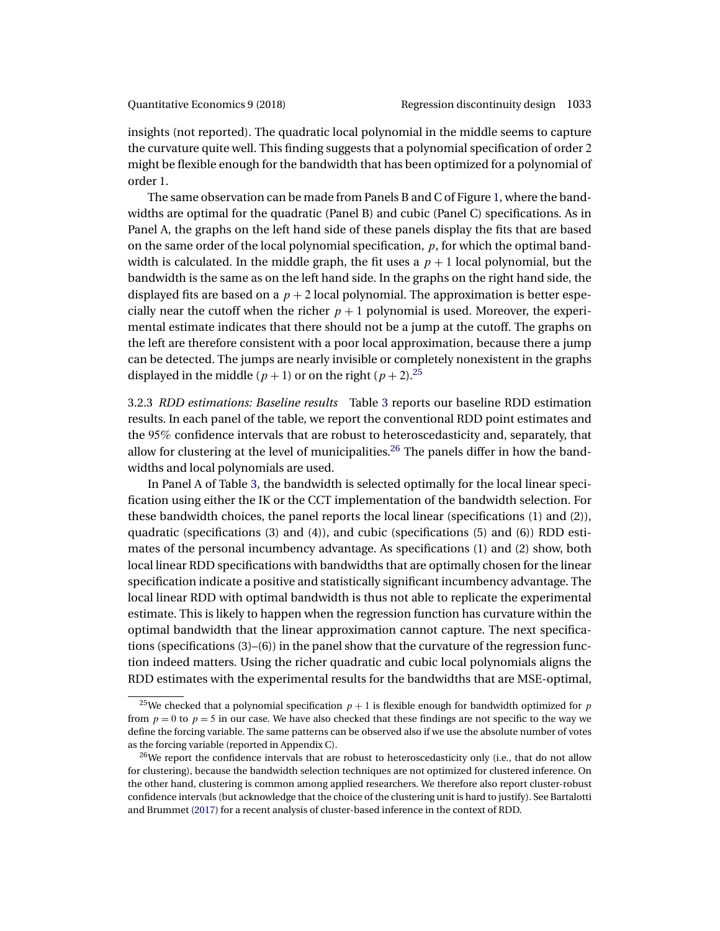<span id="page-15-0"></span>insights (not reported). The quadratic local polynomial in the middle seems to capture the curvature quite well. This finding suggests that a polynomial specification of order 2 might be flexible enough for the bandwidth that has been optimized for a polynomial of order 1.

The same observation can be made from Panels B and C of Figure [1,](#page-14-0) where the bandwidths are optimal for the quadratic (Panel B) and cubic (Panel C) specifications. As in Panel A, the graphs on the left hand side of these panels display the fits that are based on the same order of the local polynomial specification,  $p$ , for which the optimal bandwidth is calculated. In the middle graph, the fit uses a  $p + 1$  local polynomial, but the bandwidth is the same as on the left hand side. In the graphs on the right hand side, the displayed fits are based on a  $p + 2$  local polynomial. The approximation is better especially near the cutoff when the richer  $p + 1$  polynomial is used. Moreover, the experimental estimate indicates that there should not be a jump at the cutoff. The graphs on the left are therefore consistent with a poor local approximation, because there a jump can be detected. The jumps are nearly invisible or completely nonexistent in the graphs displayed in the middle ( $p + 1$ ) or on the right ( $p + 2$ ).<sup>25</sup>

3.2.3 *RDD estimations: Baseline results* Table [3](#page-16-0) reports our baseline RDD estimation results. In each panel of the table, we report the conventional RDD point estimates and the 95% confidence intervals that are robust to heteroscedasticity and, separately, that allow for clustering at the level of municipalities.<sup>26</sup> The panels differ in how the bandwidths and local polynomials are used.

In Panel A of Table [3,](#page-16-0) the bandwidth is selected optimally for the local linear specification using either the IK or the CCT implementation of the bandwidth selection. For these bandwidth choices, the panel reports the local linear (specifications (1) and (2)), quadratic (specifications (3) and (4)), and cubic (specifications (5) and (6)) RDD estimates of the personal incumbency advantage. As specifications (1) and (2) show, both local linear RDD specifications with bandwidths that are optimally chosen for the linear specification indicate a positive and statistically significant incumbency advantage. The local linear RDD with optimal bandwidth is thus not able to replicate the experimental estimate. This is likely to happen when the regression function has curvature within the optimal bandwidth that the linear approximation cannot capture. The next specifications (specifications (3)–(6)) in the panel show that the curvature of the regression function indeed matters. Using the richer quadratic and cubic local polynomials aligns the RDD estimates with the experimental results for the bandwidths that are MSE-optimal,

<sup>&</sup>lt;sup>25</sup>We checked that a polynomial specification  $p + 1$  is flexible enough for bandwidth optimized for p from  $p = 0$  to  $p = 5$  in our case. We have also checked that these findings are not specific to the way we define the forcing variable. The same patterns can be observed also if we use the absolute number of votes as the forcing variable (reported in Appendix C).

 $26$ We report the confidence intervals that are robust to heteroscedasticity only (i.e., that do not allow for clustering), because the bandwidth selection techniques are not optimized for clustered inference. On the other hand, clustering is common among applied researchers. We therefore also report cluster-robust confidence intervals (but acknowledge that the choice of the clustering unit is hard to justify). See Bartalotti and Brummet [\(2017\)](#page-28-0) for a recent analysis of cluster-based inference in the context of RDD.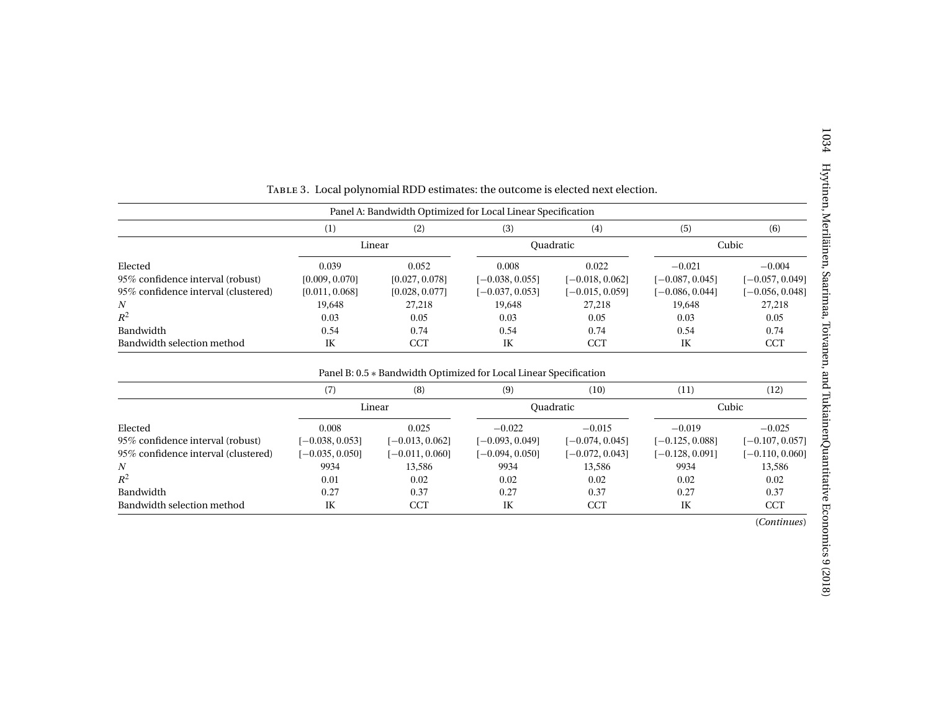<span id="page-16-0"></span>

|                                     |                   |                   | Panel A: Bandwidth Optimized for Local Linear Specification |                   |                   |                   |
|-------------------------------------|-------------------|-------------------|-------------------------------------------------------------|-------------------|-------------------|-------------------|
|                                     | (1)               | (2)               | (3)                                                         | (4)               | (5)               | (6)               |
|                                     |                   | Linear            |                                                             | Quadratic         |                   | Cubic             |
| Elected                             | 0.039             | 0.052             | 0.008                                                       | 0.022             | $-0.021$          | $-0.004$          |
| 95% confidence interval (robust)    | [0.009, 0.070]    | [0.027, 0.078]    | $[-0.038, 0.055]$                                           | $[-0.018, 0.062]$ | $[-0.087, 0.045]$ | $[-0.057, 0.049]$ |
| 95% confidence interval (clustered) | [0.011, 0.068]    | [0.028, 0.077]    | $[-0.037, 0.053]$                                           | $[-0.015, 0.059]$ | $[-0.086, 0.044]$ | $[-0.056, 0.048]$ |
| $\boldsymbol{N}$                    | 19,648            | 27,218            | 19,648                                                      | 27,218            | 19,648            | 27,218            |
| $R^2$                               | 0.03              | 0.05              | 0.03                                                        | 0.05              | 0.03              | 0.05              |
| Bandwidth                           | 0.54              | 0.74              | 0.54                                                        | 0.74              | 0.54              | 0.74              |
| Bandwidth selection method          | IK                | <b>CCT</b>        | IK                                                          | <b>CCT</b>        | IK                | <b>CCT</b>        |
|                                     |                   | Linear            |                                                             | Ouadratic         |                   | Cubic             |
|                                     |                   |                   |                                                             |                   |                   |                   |
| Elected                             | 0.008             | 0.025             | $-0.022$                                                    | $-0.015$          | $-0.019$          | $-0.025$          |
| 95% confidence interval (robust)    | $[-0.038, 0.053]$ | $[-0.013, 0.062]$ | $[-0.093, 0.049]$                                           | $[-0.074, 0.045]$ | $[-0.125, 0.088]$ | $[-0.107, 0.057]$ |
| 95% confidence interval (clustered) | $[-0.035, 0.050]$ | $[-0.011, 0.060]$ | $[-0.094, 0.050]$                                           | $[-0.072, 0.043]$ | $[-0.128, 0.091]$ | $[-0.110, 0.060]$ |
| $\boldsymbol{N}$                    | 9934              | 13,586            | 9934                                                        | 13,586            | 9934              | 13,586            |
|                                     | 0.01              | 0.02              | 0.02                                                        | 0.02              | 0.02              | 0.02              |
| $R^2$<br>Bandwidth                  | 0.27              | 0.37              | 0.27                                                        | 0.37              | 0.27              | 0.37              |
| Bandwidth selection method          | IK                | <b>CCT</b>        | IK                                                          | <b>CCT</b>        | IK                | <b>CCT</b>        |
|                                     |                   |                   |                                                             |                   |                   | (Continues)       |
|                                     |                   |                   |                                                             |                   |                   |                   |

|  |  |  |  |  |  |  | TABLE 3. Local polynomial RDD estimates: the outcome is elected next election. |  |  |  |  |  |  |
|--|--|--|--|--|--|--|--------------------------------------------------------------------------------|--|--|--|--|--|--|
|--|--|--|--|--|--|--|--------------------------------------------------------------------------------|--|--|--|--|--|--|

|                                     | (7)               | (8)               | (9)               | (10)              | (11)              | (12)              |
|-------------------------------------|-------------------|-------------------|-------------------|-------------------|-------------------|-------------------|
|                                     |                   | Linear            |                   | Ouadratic         |                   | Cubic             |
| Elected                             | 0.008             | 0.025             | $-0.022$          | $-0.015$          | $-0.019$          | $-0.025$          |
| 95% confidence interval (robust)    | $[-0.038, 0.053]$ | $[-0.013, 0.062]$ | $[-0.093, 0.049]$ | $[-0.074, 0.045]$ | $[-0.125, 0.088]$ | $[-0.107, 0.057]$ |
| 95% confidence interval (clustered) | $[-0.035, 0.050]$ | $[-0.011, 0.060]$ | $[-0.094, 0.050]$ | $[-0.072, 0.043]$ | $[-0.128, 0.091]$ | $[-0.110, 0.060]$ |
| $\boldsymbol{N}$                    | 9934              | 13,586            | 9934              | 13,586            | 9934              | 13,586            |
| $R^2$                               | 0.01              | 0.02              | 0.02              | 0.02              | 0.02              | 0.02              |
| Bandwidth                           | 0.27              | 0.37              | 0.27              | 0.37              | 0.27              | 0.37              |
| Bandwidth selection method          | IK                | <b>CCT</b>        | IK                | <b>CCT</b>        | IK                | <b>CCT</b>        |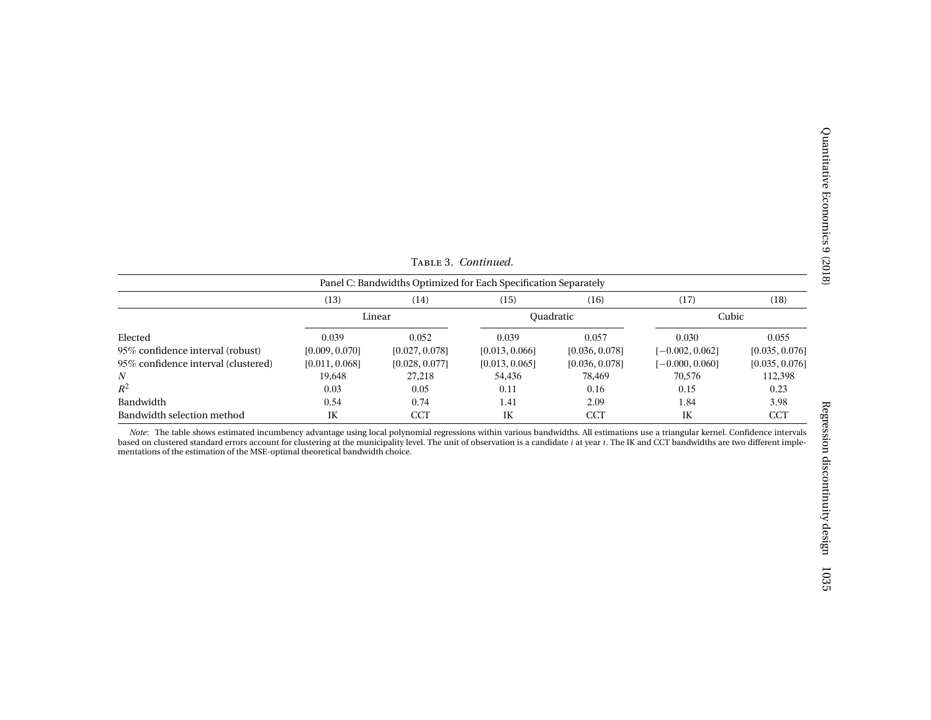|                                                                                                                                                                                                                                                                                                                                                                                                                                                                  |                                  | Panel C: Bandwidths Optimized for Each Specification Separately |                                  |                                  |                                     |                                   |
|------------------------------------------------------------------------------------------------------------------------------------------------------------------------------------------------------------------------------------------------------------------------------------------------------------------------------------------------------------------------------------------------------------------------------------------------------------------|----------------------------------|-----------------------------------------------------------------|----------------------------------|----------------------------------|-------------------------------------|-----------------------------------|
|                                                                                                                                                                                                                                                                                                                                                                                                                                                                  | (13)                             | (14)                                                            | (15)                             | (16)                             | (17)                                | (18)                              |
|                                                                                                                                                                                                                                                                                                                                                                                                                                                                  |                                  | Linear                                                          |                                  | Quadratic                        | Cubic                               |                                   |
| Elected<br>95% confidence interval (robust)                                                                                                                                                                                                                                                                                                                                                                                                                      | 0.039<br>[0.009, 0.070]          | 0.052<br>[0.027, 0.078]                                         | 0.039<br>[0.013, 0.066]          | 0.057<br>[0.036, 0.078]          | 0.030<br>$[-0.002, 0.062]$          | 0.055<br>[0.035, 0.076]           |
| 95% confidence interval (clustered)<br>N<br>$R^2$                                                                                                                                                                                                                                                                                                                                                                                                                | [0.011, 0.068]<br>19,648<br>0.03 | [0.028, 0.077]<br>27,218<br>0.05                                | [0.013, 0.065]<br>54,436<br>0.11 | [0.036, 0.078]<br>78,469<br>0.16 | $[-0.000, 0.060]$<br>70,576<br>0.15 | [0.035, 0.076]<br>112,398<br>0.23 |
| Bandwidth<br>Bandwidth selection method                                                                                                                                                                                                                                                                                                                                                                                                                          | 0.54<br>IK                       | 0.74<br><b>CCT</b>                                              | 1.41<br>IK                       | 2.09<br><b>CCT</b>               | 1.84<br>IK                          | 3.98<br><b>CCT</b>                |
| Note: The table shows estimated incumbency advantage using local polynomial regressions within various bandwidths. All estimations use a triangular kernel. Confidence intervals<br>based on clustered standard errors account for clustering at the municipality level. The unit of observation is a candidate i at year t. The IK and CCT bandwidths are two different imple-<br>mentations of the estimation of the MSE-optimal theoretical bandwidth choice. |                                  |                                                                 |                                  |                                  |                                     |                                   |
|                                                                                                                                                                                                                                                                                                                                                                                                                                                                  |                                  |                                                                 |                                  |                                  |                                     |                                   |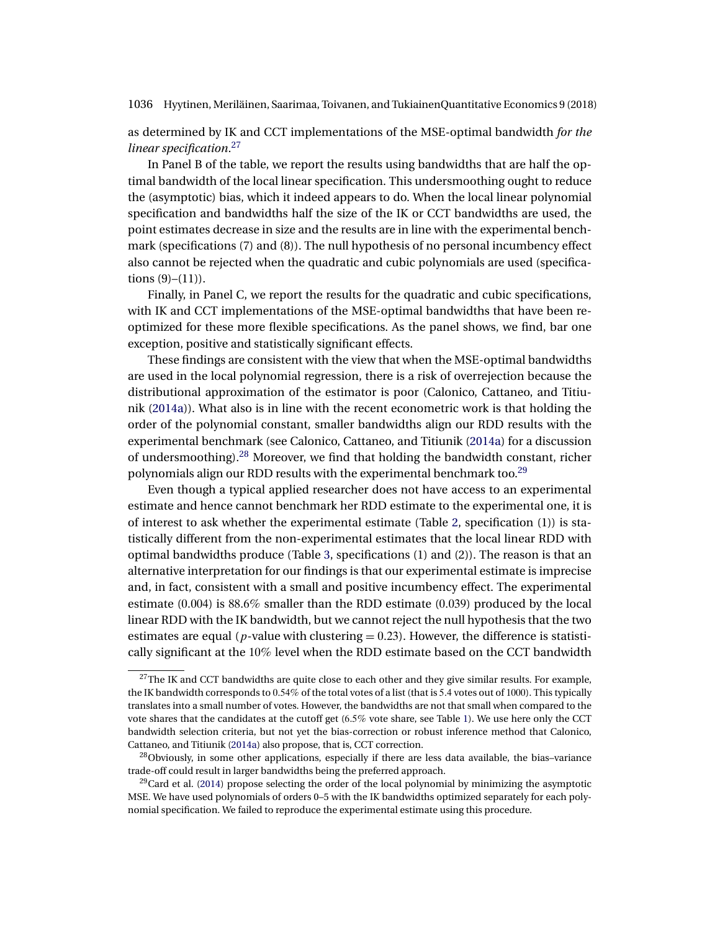<span id="page-18-0"></span>as determined by IK and CCT implementations of the MSE-optimal bandwidth *for the linear specification*. 27

In Panel B of the table, we report the results using bandwidths that are half the optimal bandwidth of the local linear specification. This undersmoothing ought to reduce the (asymptotic) bias, which it indeed appears to do. When the local linear polynomial specification and bandwidths half the size of the IK or CCT bandwidths are used, the point estimates decrease in size and the results are in line with the experimental benchmark (specifications (7) and (8)). The null hypothesis of no personal incumbency effect also cannot be rejected when the quadratic and cubic polynomials are used (specifications  $(9)–(11)$ ).

Finally, in Panel C, we report the results for the quadratic and cubic specifications, with IK and CCT implementations of the MSE-optimal bandwidths that have been reoptimized for these more flexible specifications. As the panel shows, we find, bar one exception, positive and statistically significant effects.

These findings are consistent with the view that when the MSE-optimal bandwidths are used in the local polynomial regression, there is a risk of overrejection because the distributional approximation of the estimator is poor (Calonico, Cattaneo, and Titiunik [\(2014a\)](#page-29-0)). What also is in line with the recent econometric work is that holding the order of the polynomial constant, smaller bandwidths align our RDD results with the experimental benchmark (see Calonico, Cattaneo, and Titiunik [\(2014a\)](#page-29-0) for a discussion of undersmoothing).<sup>28</sup> Moreover, we find that holding the bandwidth constant, richer polynomials align our RDD results with the experimental benchmark too.<sup>29</sup>

Even though a typical applied researcher does not have access to an experimental estimate and hence cannot benchmark her RDD estimate to the experimental one, it is of interest to ask whether the experimental estimate (Table [2,](#page-10-0) specification (1)) is statistically different from the non-experimental estimates that the local linear RDD with optimal bandwidths produce (Table [3,](#page-16-0) specifications (1) and (2)). The reason is that an alternative interpretation for our findings is that our experimental estimate is imprecise and, in fact, consistent with a small and positive incumbency effect. The experimental estimate  $(0.004)$  is  $88.6\%$  smaller than the RDD estimate  $(0.039)$  produced by the local linear RDD with the IK bandwidth, but we cannot reject the null hypothesis that the two estimates are equal (*p*-value with clustering  $= 0.23$ ). However, the difference is statistically significant at the 10% level when the RDD estimate based on the CCT bandwidth

 $27$ The IK and CCT bandwidths are quite close to each other and they give similar results. For example, the IK bandwidth corresponds to 0-54% of the total votes of a list (that is 5-4 votes out of 1000). This typically translates into a small number of votes. However, the bandwidths are not that small when compared to the vote shares that the candidates at the cutoff get (6-5% vote share, see Table [1\)](#page-9-0). We use here only the CCT bandwidth selection criteria, but not yet the bias-correction or robust inference method that Calonico, Cattaneo, and Titiunik [\(2014a\)](#page-29-0) also propose, that is, CCT correction.

 $^{28}$ Obviously, in some other applications, especially if there are less data available, the bias–variance trade-off could result in larger bandwidths being the preferred approach.

 $29$ Card et al. [\(2014\)](#page-29-0) propose selecting the order of the local polynomial by minimizing the asymptotic MSE. We have used polynomials of orders 0–5 with the IK bandwidths optimized separately for each polynomial specification. We failed to reproduce the experimental estimate using this procedure.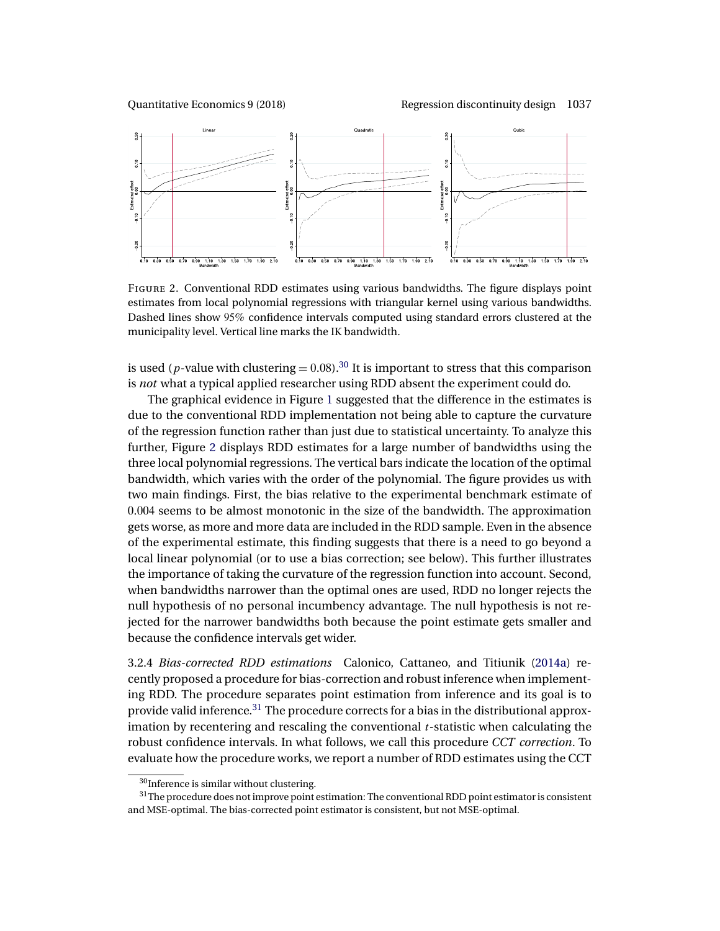<span id="page-19-0"></span>Quantitative Economics 9 (2018) Regression discontinuity design 1037



Figure 2. Conventional RDD estimates using various bandwidths. The figure displays point estimates from local polynomial regressions with triangular kernel using various bandwidths. Dashed lines show 95% confidence intervals computed using standard errors clustered at the municipality level. Vertical line marks the IK bandwidth.

is used (*p*-value with clustering  $= 0.08$ ).<sup>30</sup> It is important to stress that this comparison is *not* what a typical applied researcher using RDD absent the experiment could do.

The graphical evidence in Figure [1](#page-14-0) suggested that the difference in the estimates is due to the conventional RDD implementation not being able to capture the curvature of the regression function rather than just due to statistical uncertainty. To analyze this further, Figure 2 displays RDD estimates for a large number of bandwidths using the three local polynomial regressions. The vertical bars indicate the location of the optimal bandwidth, which varies with the order of the polynomial. The figure provides us with two main findings. First, the bias relative to the experimental benchmark estimate of 0-004 seems to be almost monotonic in the size of the bandwidth. The approximation gets worse, as more and more data are included in the RDD sample. Even in the absence of the experimental estimate, this finding suggests that there is a need to go beyond a local linear polynomial (or to use a bias correction; see below). This further illustrates the importance of taking the curvature of the regression function into account. Second, when bandwidths narrower than the optimal ones are used, RDD no longer rejects the null hypothesis of no personal incumbency advantage. The null hypothesis is not rejected for the narrower bandwidths both because the point estimate gets smaller and because the confidence intervals get wider.

3.2.4 *Bias-corrected RDD estimations* Calonico, Cattaneo, and Titiunik [\(2014a\)](#page-29-0) recently proposed a procedure for bias-correction and robust inference when implementing RDD. The procedure separates point estimation from inference and its goal is to provide valid inference.<sup>31</sup> The procedure corrects for a bias in the distributional approximation by recentering and rescaling the conventional t-statistic when calculating the robust confidence intervals. In what follows, we call this procedure *CCT correction*. To evaluate how the procedure works, we report a number of RDD estimates using the CCT

<sup>30</sup>Inference is similar without clustering.

 $31$ The procedure does not improve point estimation: The conventional RDD point estimator is consistent and MSE-optimal. The bias-corrected point estimator is consistent, but not MSE-optimal.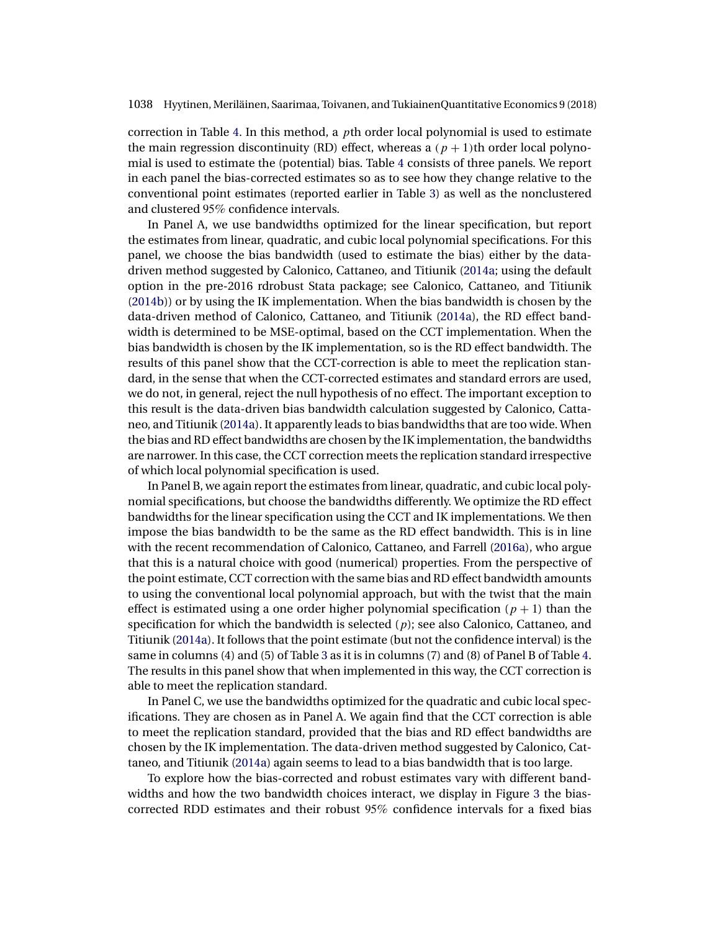<span id="page-20-0"></span>correction in Table [4.](#page-21-0) In this method, a pth order local polynomial is used to estimate the main regression discontinuity (RD) effect, whereas a  $(p + 1)$ th order local polynomial is used to estimate the (potential) bias. Table [4](#page-21-0) consists of three panels. We report in each panel the bias-corrected estimates so as to see how they change relative to the conventional point estimates (reported earlier in Table [3\)](#page-16-0) as well as the nonclustered and clustered 95% confidence intervals.

In Panel A, we use bandwidths optimized for the linear specification, but report the estimates from linear, quadratic, and cubic local polynomial specifications. For this panel, we choose the bias bandwidth (used to estimate the bias) either by the datadriven method suggested by Calonico, Cattaneo, and Titiunik [\(2014a;](#page-29-0) using the default option in the pre-2016 rdrobust Stata package; see Calonico, Cattaneo, and Titiunik [\(2014b\)](#page-29-0)) or by using the IK implementation. When the bias bandwidth is chosen by the data-driven method of Calonico, Cattaneo, and Titiunik [\(2014a\)](#page-29-0), the RD effect bandwidth is determined to be MSE-optimal, based on the CCT implementation. When the bias bandwidth is chosen by the IK implementation, so is the RD effect bandwidth. The results of this panel show that the CCT-correction is able to meet the replication standard, in the sense that when the CCT-corrected estimates and standard errors are used, we do not, in general, reject the null hypothesis of no effect. The important exception to this result is the data-driven bias bandwidth calculation suggested by Calonico, Cattaneo, and Titiunik [\(2014a\)](#page-29-0). It apparently leads to bias bandwidths that are too wide. When the bias and RD effect bandwidths are chosen by the IK implementation, the bandwidths are narrower. In this case, the CCT correction meets the replication standard irrespective of which local polynomial specification is used.

In Panel B, we again report the estimates from linear, quadratic, and cubic local polynomial specifications, but choose the bandwidths differently. We optimize the RD effect bandwidths for the linear specification using the CCT and IK implementations. We then impose the bias bandwidth to be the same as the RD effect bandwidth. This is in line with the recent recommendation of Calonico, Cattaneo, and Farrell [\(2016a\)](#page-29-0), who argue that this is a natural choice with good (numerical) properties. From the perspective of the point estimate, CCT correction with the same bias and RD effect bandwidth amounts to using the conventional local polynomial approach, but with the twist that the main effect is estimated using a one order higher polynomial specification ( $p + 1$ ) than the specification for which the bandwidth is selected  $(p)$ ; see also Calonico, Cattaneo, and Titiunik [\(2014a\)](#page-29-0). It follows that the point estimate (but not the confidence interval) is the same in columns (4) and (5) of Table [3](#page-16-0) as it is in columns (7) and (8) of Panel B of Table [4.](#page-21-0) The results in this panel show that when implemented in this way, the CCT correction is able to meet the replication standard.

In Panel C, we use the bandwidths optimized for the quadratic and cubic local specifications. They are chosen as in Panel A. We again find that the CCT correction is able to meet the replication standard, provided that the bias and RD effect bandwidths are chosen by the IK implementation. The data-driven method suggested by Calonico, Cattaneo, and Titiunik [\(2014a\)](#page-29-0) again seems to lead to a bias bandwidth that is too large.

To explore how the bias-corrected and robust estimates vary with different bandwidths and how the two bandwidth choices interact, we display in Figure [3](#page-23-0) the biascorrected RDD estimates and their robust 95% confidence intervals for a fixed bias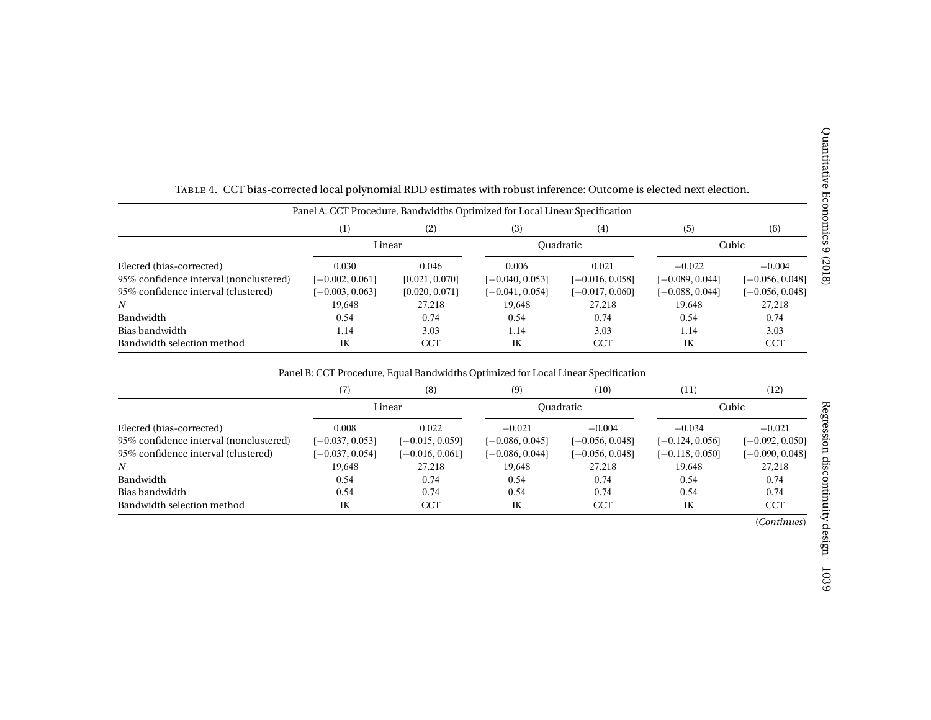<span id="page-21-0"></span>

|                                        |                   |                   | Panel A: CCT Procedure, Bandwidths Optimized for Local Linear Specification |                   |                   |                   |
|----------------------------------------|-------------------|-------------------|-----------------------------------------------------------------------------|-------------------|-------------------|-------------------|
|                                        | (1)               | (2)               | (3)                                                                         | (4)               | (5)               | (6)               |
|                                        | Linear            |                   |                                                                             | Ouadratic         |                   | Cubic             |
| Elected (bias-corrected)               | 0.030             | 0.046             | 0.006                                                                       | 0.021             | $-0.022$          | $-0.004$          |
| 95% confidence interval (nonclustered) | $[-0.002, 0.061]$ | [0.021, 0.070]    | $[-0.040, 0.053]$                                                           | $[-0.016, 0.058]$ | $[-0.089, 0.044]$ | $[-0.056, 0.048]$ |
| 95% confidence interval (clustered)    | $[-0.003, 0.063]$ | [0.020, 0.071]    | $[-0.041, 0.054]$                                                           | $[-0.017, 0.060]$ | $[-0.088, 0.044]$ | $[-0.056, 0.048]$ |
| N                                      | 19,648            | 27,218            | 19,648                                                                      | 27,218            | 19,648            | 27,218            |
| Bandwidth                              | 0.54              | 0.74              | 0.54                                                                        | 0.74              | 0.54              | 0.74              |
| Bias bandwidth                         | 1.14              | 3.03              | 1.14                                                                        | 3.03              | 1.14              | 3.03              |
| Bandwidth selection method             | IK                | <b>CCT</b>        | IK                                                                          | <b>CCT</b>        | IK                | <b>CCT</b>        |
|                                        | Linear            |                   |                                                                             | Quadratic         |                   | Cubic             |
| Elected (bias-corrected)               | 0.008             | 0.022             | $-0.021$                                                                    | $-0.004$          | $-0.034$          | $-0.021$          |
| 95% confidence interval (nonclustered) | $[-0.037, 0.053]$ | $[-0.015, 0.059]$ | $[-0.086, 0.045]$                                                           | $[-0.056, 0.048]$ | $[-0.124, 0.056]$ | $[-0.092, 0.050]$ |
| 95% confidence interval (clustered)    | $[-0.037, 0.054]$ | $[-0.016, 0.061]$ | $[-0.086, 0.044]$                                                           | $[-0.056, 0.048]$ | $[-0.118, 0.050]$ | $[-0.090, 0.048]$ |
| N                                      | 19,648            | 27,218            | 19,648                                                                      | 27,218            | 19,648            | 27,218            |
|                                        | 0.54              | 0.74              | 0.54                                                                        | 0.74              | 0.54              | 0.74              |
| Bandwidth                              | 0.54              | 0.74              | 0.54                                                                        | 0.74              | 0.54              | 0.74              |
| Bias bandwidth                         |                   |                   | IK                                                                          | <b>CCT</b>        | IK                | <b>CCT</b>        |
| Bandwidth selection method             | IK                | <b>CCT</b>        |                                                                             |                   |                   |                   |
|                                        |                   |                   |                                                                             |                   |                   | (Continues)       |
|                                        |                   |                   |                                                                             |                   |                   |                   |
|                                        |                   |                   |                                                                             |                   |                   |                   |
|                                        |                   |                   |                                                                             |                   |                   |                   |

|                                        |                   | Panel B: CCT Procedure, Equal Bandwidths Optimized for Local Linear Specification |                   |                   |                   |                   |
|----------------------------------------|-------------------|-----------------------------------------------------------------------------------|-------------------|-------------------|-------------------|-------------------|
|                                        | (7)               | (8)                                                                               | (9)               | (10)              | (11)              | (12)              |
|                                        |                   | Linear                                                                            |                   | Ouadratic         |                   | Cubic             |
| Elected (bias-corrected)               | 0.008             | 0.022                                                                             | $-0.021$          | $-0.004$          | $-0.034$          | $-0.021$          |
| 95% confidence interval (nonclustered) | $-0.037, 0.053$   | $[-0.015, 0.059]$                                                                 | $[-0.086, 0.045]$ | $[-0.056, 0.048]$ | $[-0.124, 0.056]$ | $[-0.092, 0.050]$ |
| 95% confidence interval (clustered)    | $[-0.037, 0.054]$ | $[-0.016, 0.061]$                                                                 | $[-0.086, 0.044]$ | $[-0.056, 0.048]$ | $[-0.118, 0.050]$ | $[-0.090, 0.048]$ |
| $\boldsymbol{N}$                       | 19,648            | 27,218                                                                            | 19,648            | 27,218            | 19,648            | 27,218            |
| Bandwidth                              | 0.54              | 0.74                                                                              | 0.54              | 0.74              | 0.54              | 0.74              |
| Bias bandwidth                         | 0.54              | 0.74                                                                              | 0.54              | 0.74              | 0.54              | 0.74              |
| Bandwidth selection method             | IK                | <b>CCT</b>                                                                        | IK                | <b>CCT</b>        | IK                | <b>CCT</b>        |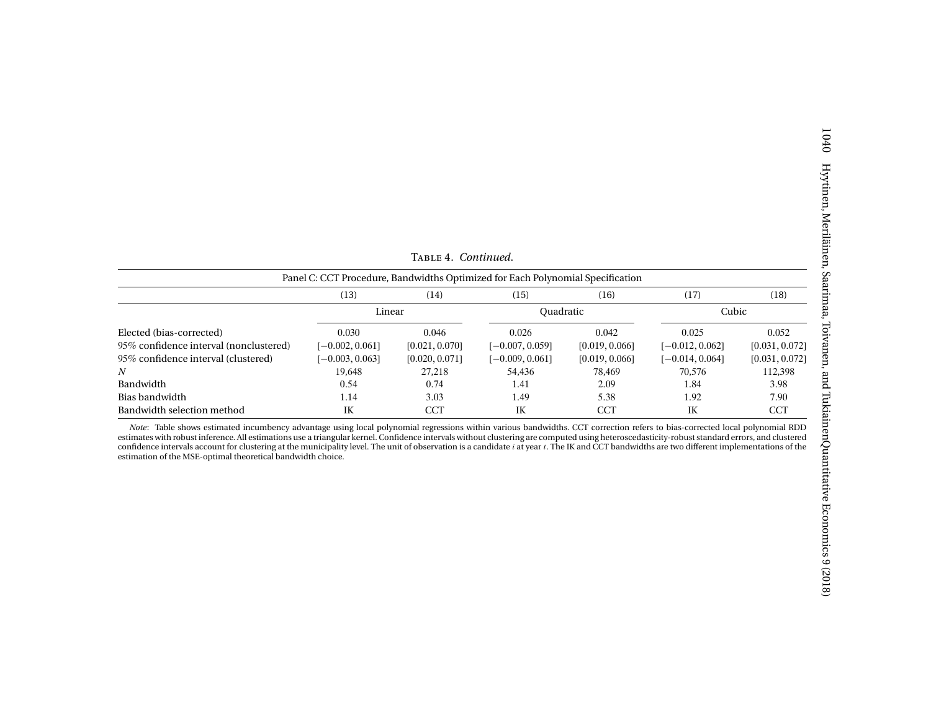| 'n |                                                                                                                           |             |
|----|---------------------------------------------------------------------------------------------------------------------------|-------------|
|    | (17)                                                                                                                      |             |
|    | Cubic                                                                                                                     |             |
|    | 0.025                                                                                                                     | 0           |
|    | $[-0.012, 0.062]$                                                                                                         | [0.03]      |
|    | $[-0.014, 0.064]$                                                                                                         | [0.03]      |
|    | 70,576                                                                                                                    | 11          |
|    | 1.84                                                                                                                      |             |
|    | 1.92                                                                                                                      | :<br>)<br>) |
|    | IΚ                                                                                                                        |             |
|    | efers to bias-corrected local polynor<br>edasticity-robust standard errors, and<br>vidths are two different implementatio |             |

|                                                                                                                                                                                                                                                                                                                                                                                                                                                                                                                                                                                                                                                             | (13)                                            | (14)                                      | (15)                                            | (16)                                      | (17)                                            | (18)                                      |
|-------------------------------------------------------------------------------------------------------------------------------------------------------------------------------------------------------------------------------------------------------------------------------------------------------------------------------------------------------------------------------------------------------------------------------------------------------------------------------------------------------------------------------------------------------------------------------------------------------------------------------------------------------------|-------------------------------------------------|-------------------------------------------|-------------------------------------------------|-------------------------------------------|-------------------------------------------------|-------------------------------------------|
|                                                                                                                                                                                                                                                                                                                                                                                                                                                                                                                                                                                                                                                             | Linear                                          |                                           | Quadratic                                       |                                           | Cubic                                           |                                           |
| Elected (bias-corrected)<br>95% confidence interval (nonclustered)<br>95% confidence interval (clustered)                                                                                                                                                                                                                                                                                                                                                                                                                                                                                                                                                   | 0.030<br>$[-0.002, 0.061]$<br>$[-0.003, 0.063]$ | 0.046<br>[0.021, 0.070]<br>[0.020, 0.071] | 0.026<br>$[-0.007, 0.059]$<br>$[-0.009, 0.061]$ | 0.042<br>[0.019, 0.066]<br>[0.019, 0.066] | 0.025<br>$[-0.012, 0.062]$<br>$[-0.014, 0.064]$ | 0.052<br>[0.031, 0.072]<br>[0.031, 0.072] |
| $\boldsymbol{N}$<br>Bandwidth                                                                                                                                                                                                                                                                                                                                                                                                                                                                                                                                                                                                                               | 19,648<br>0.54                                  | 27,218<br>0.74                            | 54,436<br>1.41                                  | 78,469<br>2.09                            | 70,576<br>1.84                                  | 112,398<br>3.98                           |
| Bias bandwidth                                                                                                                                                                                                                                                                                                                                                                                                                                                                                                                                                                                                                                              | 1.14                                            | 3.03                                      | 1.49                                            | 5.38                                      | 1.92                                            | 7.90                                      |
| Bandwidth selection method                                                                                                                                                                                                                                                                                                                                                                                                                                                                                                                                                                                                                                  | IK                                              | <b>CCT</b>                                | IK                                              | <b>CCT</b>                                | IK                                              | <b>CCT</b>                                |
| Note: Table shows estimated incumbency advantage using local polynomial regressions within various bandwidths. CCT correction refers to bias-corrected local polynomial RDD<br>estimates with robust inference. All estimations use a triangular kernel. Confidence intervals without clustering are computed using heteroscedasticity-robust standard errors, and clustered<br>confidence intervals account for clustering at the municipality level. The unit of observation is a candidate <i>i</i> at year <i>t</i> . The IK and CCT bandwidths are two different implementations of the<br>estimation of the MSE-optimal theoretical bandwidth choice. |                                                 |                                           |                                                 |                                           |                                                 |                                           |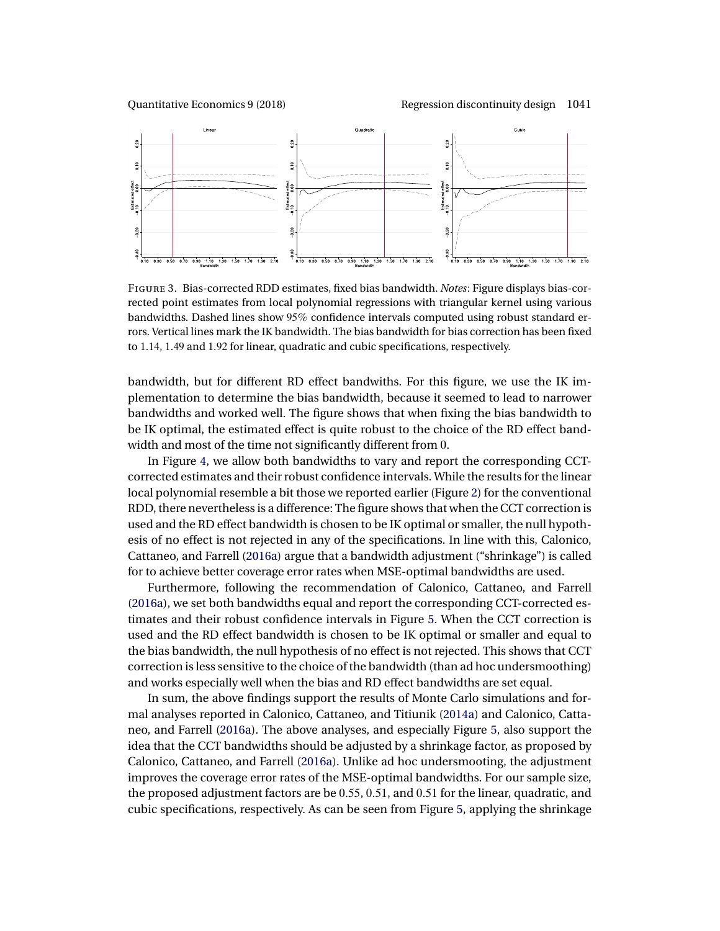<span id="page-23-0"></span>Quantitative Economics 9 (2018) Regression discontinuity design 1041



Figure 3. Bias-corrected RDD estimates, fixed bias bandwidth. *Notes*: Figure displays bias-corrected point estimates from local polynomial regressions with triangular kernel using various bandwidths. Dashed lines show 95% confidence intervals computed using robust standard errors. Vertical lines mark the IK bandwidth. The bias bandwidth for bias correction has been fixed to 1.14, 1.49 and 1.92 for linear, quadratic and cubic specifications, respectively.

bandwidth, but for different RD effect bandwiths. For this figure, we use the IK implementation to determine the bias bandwidth, because it seemed to lead to narrower bandwidths and worked well. The figure shows that when fixing the bias bandwidth to be IK optimal, the estimated effect is quite robust to the choice of the RD effect bandwidth and most of the time not significantly different from 0.

In Figure [4,](#page-24-0) we allow both bandwidths to vary and report the corresponding CCTcorrected estimates and their robust confidence intervals. While the results for the linear local polynomial resemble a bit those we reported earlier (Figure [2\)](#page-19-0) for the conventional RDD, there nevertheless is a difference: The figure shows that when the CCT correction is used and the RD effect bandwidth is chosen to be IK optimal or smaller, the null hypothesis of no effect is not rejected in any of the specifications. In line with this, Calonico, Cattaneo, and Farrell [\(2016a\)](#page-29-0) argue that a bandwidth adjustment ("shrinkage") is called for to achieve better coverage error rates when MSE-optimal bandwidths are used.

Furthermore, following the recommendation of Calonico, Cattaneo, and Farrell [\(2016a\)](#page-29-0), we set both bandwidths equal and report the corresponding CCT-corrected estimates and their robust confidence intervals in Figure [5.](#page-24-0) When the CCT correction is used and the RD effect bandwidth is chosen to be IK optimal or smaller and equal to the bias bandwidth, the null hypothesis of no effect is not rejected. This shows that CCT correction is less sensitive to the choice of the bandwidth (than ad hoc undersmoothing) and works especially well when the bias and RD effect bandwidths are set equal.

In sum, the above findings support the results of Monte Carlo simulations and formal analyses reported in Calonico, Cattaneo, and Titiunik [\(2014a\)](#page-29-0) and Calonico, Cattaneo, and Farrell [\(2016a\)](#page-29-0). The above analyses, and especially Figure [5,](#page-24-0) also support the idea that the CCT bandwidths should be adjusted by a shrinkage factor, as proposed by Calonico, Cattaneo, and Farrell [\(2016a\)](#page-29-0). Unlike ad hoc undersmooting, the adjustment improves the coverage error rates of the MSE-optimal bandwidths. For our sample size, the proposed adjustment factors are be 0.55, 0.51, and 0.51 for the linear, quadratic, and cubic specifications, respectively. As can be seen from Figure [5,](#page-24-0) applying the shrinkage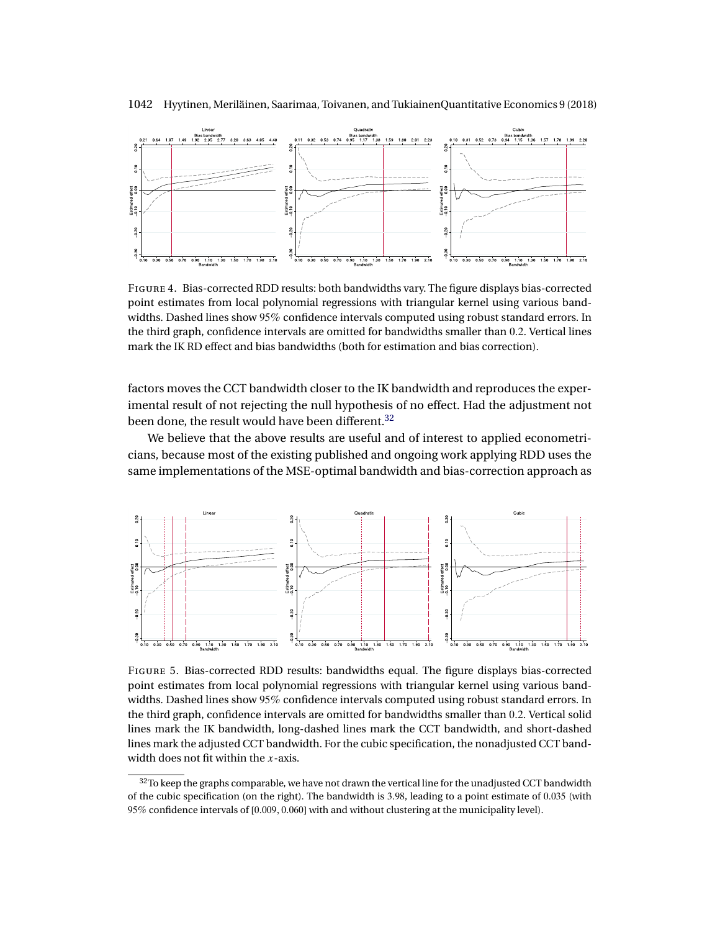<span id="page-24-0"></span>



Figure 4. Bias-corrected RDD results: both bandwidths vary. The figure displays bias-corrected point estimates from local polynomial regressions with triangular kernel using various bandwidths. Dashed lines show 95% confidence intervals computed using robust standard errors. In the third graph, confidence intervals are omitted for bandwidths smaller than 0.2. Vertical lines mark the IK RD effect and bias bandwidths (both for estimation and bias correction).

factors moves the CCT bandwidth closer to the IK bandwidth and reproduces the experimental result of not rejecting the null hypothesis of no effect. Had the adjustment not been done, the result would have been different.<sup>32</sup>

We believe that the above results are useful and of interest to applied econometricians, because most of the existing published and ongoing work applying RDD uses the same implementations of the MSE-optimal bandwidth and bias-correction approach as



Figure 5. Bias-corrected RDD results: bandwidths equal. The figure displays bias-corrected point estimates from local polynomial regressions with triangular kernel using various bandwidths. Dashed lines show 95% confidence intervals computed using robust standard errors. In the third graph, confidence intervals are omitted for bandwidths smaller than 0.2. Vertical solid lines mark the IK bandwidth, long-dashed lines mark the CCT bandwidth, and short-dashed lines mark the adjusted CCT bandwidth. For the cubic specification, the nonadjusted CCT bandwidth does not fit within the  $x$ -axis.

<sup>&</sup>lt;sup>32</sup>To keep the graphs comparable, we have not drawn the vertical line for the unadjusted CCT bandwidth of the cubic specification (on the right). The bandwidth is 3-98, leading to a point estimate of 0-035 (with  $95\%$  confidence intervals of  $[0.009, 0.060]$  with and without clustering at the municipality level).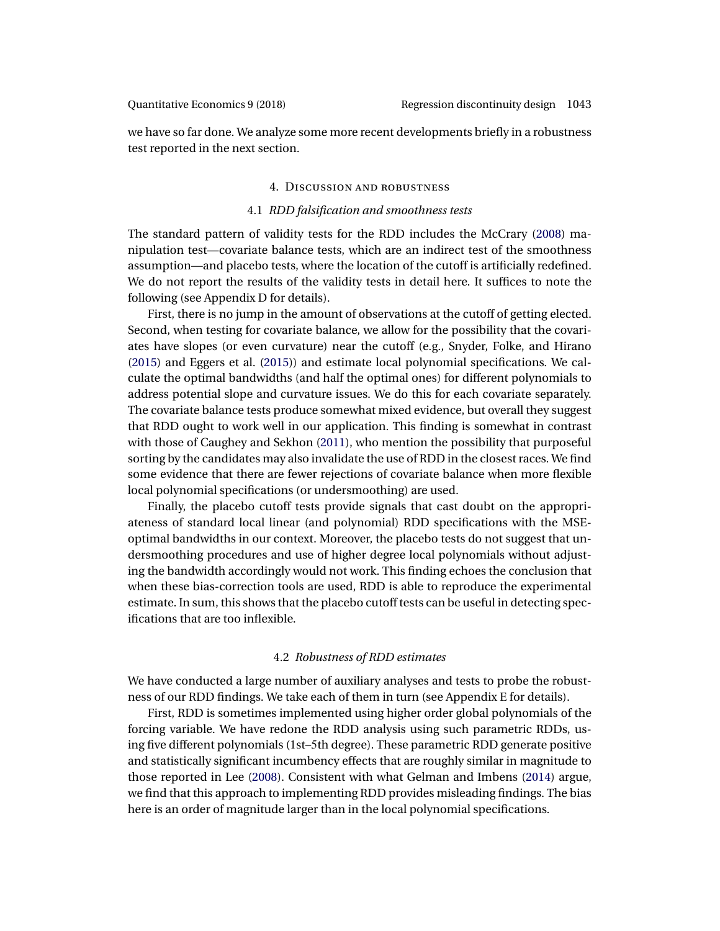<span id="page-25-0"></span>we have so far done. We analyze some more recent developments briefly in a robustness test reported in the next section.

## 4. Discussion and robustness

## 4.1 *RDD falsification and smoothness tests*

The standard pattern of validity tests for the RDD includes the McCrary [\(2008\)](#page-31-0) manipulation test—covariate balance tests, which are an indirect test of the smoothness assumption—and placebo tests, where the location of the cutoff is artificially redefined. We do not report the results of the validity tests in detail here. It suffices to note the following (see Appendix D for details).

First, there is no jump in the amount of observations at the cutoff of getting elected. Second, when testing for covariate balance, we allow for the possibility that the covariates have slopes (or even curvature) near the cutoff (e.g., Snyder, Folke, and Hirano [\(2015\)](#page-32-0) and Eggers et al. [\(2015\)](#page-30-0)) and estimate local polynomial specifications. We calculate the optimal bandwidths (and half the optimal ones) for different polynomials to address potential slope and curvature issues. We do this for each covariate separately. The covariate balance tests produce somewhat mixed evidence, but overall they suggest that RDD ought to work well in our application. This finding is somewhat in contrast with those of Caughey and Sekhon [\(2011\)](#page-29-0), who mention the possibility that purposeful sorting by the candidates may also invalidate the use of RDD in the closest races. We find some evidence that there are fewer rejections of covariate balance when more flexible local polynomial specifications (or undersmoothing) are used.

Finally, the placebo cutoff tests provide signals that cast doubt on the appropriateness of standard local linear (and polynomial) RDD specifications with the MSEoptimal bandwidths in our context. Moreover, the placebo tests do not suggest that undersmoothing procedures and use of higher degree local polynomials without adjusting the bandwidth accordingly would not work. This finding echoes the conclusion that when these bias-correction tools are used, RDD is able to reproduce the experimental estimate. In sum, this shows that the placebo cutoff tests can be useful in detecting specifications that are too inflexible.

#### 4.2 *Robustness of RDD estimates*

We have conducted a large number of auxiliary analyses and tests to probe the robustness of our RDD findings. We take each of them in turn (see Appendix E for details).

First, RDD is sometimes implemented using higher order global polynomials of the forcing variable. We have redone the RDD analysis using such parametric RDDs, using five different polynomials (1st–5th degree). These parametric RDD generate positive and statistically significant incumbency effects that are roughly similar in magnitude to those reported in Lee [\(2008\)](#page-31-0). Consistent with what Gelman and Imbens [\(2014\)](#page-30-0) argue, we find that this approach to implementing RDD provides misleading findings. The bias here is an order of magnitude larger than in the local polynomial specifications.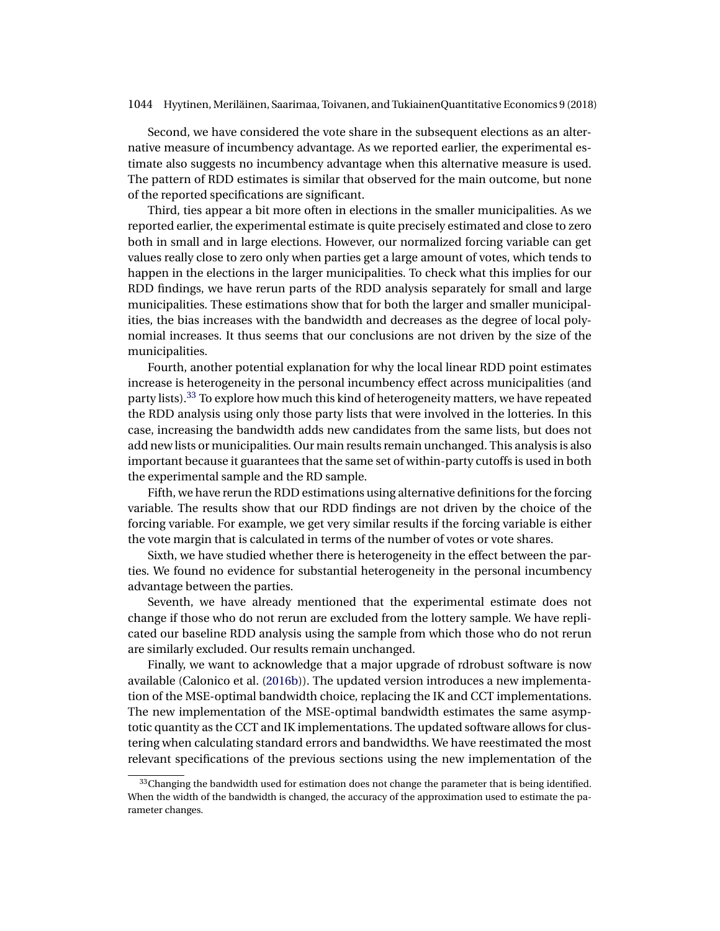<span id="page-26-0"></span>Second, we have considered the vote share in the subsequent elections as an alternative measure of incumbency advantage. As we reported earlier, the experimental estimate also suggests no incumbency advantage when this alternative measure is used. The pattern of RDD estimates is similar that observed for the main outcome, but none of the reported specifications are significant.

Third, ties appear a bit more often in elections in the smaller municipalities. As we reported earlier, the experimental estimate is quite precisely estimated and close to zero both in small and in large elections. However, our normalized forcing variable can get values really close to zero only when parties get a large amount of votes, which tends to happen in the elections in the larger municipalities. To check what this implies for our RDD findings, we have rerun parts of the RDD analysis separately for small and large municipalities. These estimations show that for both the larger and smaller municipalities, the bias increases with the bandwidth and decreases as the degree of local polynomial increases. It thus seems that our conclusions are not driven by the size of the municipalities.

Fourth, another potential explanation for why the local linear RDD point estimates increase is heterogeneity in the personal incumbency effect across municipalities (and party lists).<sup>33</sup> To explore how much this kind of heterogeneity matters, we have repeated the RDD analysis using only those party lists that were involved in the lotteries. In this case, increasing the bandwidth adds new candidates from the same lists, but does not add new lists or municipalities. Our main results remain unchanged. This analysis is also important because it guarantees that the same set of within-party cutoffs is used in both the experimental sample and the RD sample.

Fifth, we have rerun the RDD estimations using alternative definitions for the forcing variable. The results show that our RDD findings are not driven by the choice of the forcing variable. For example, we get very similar results if the forcing variable is either the vote margin that is calculated in terms of the number of votes or vote shares.

Sixth, we have studied whether there is heterogeneity in the effect between the parties. We found no evidence for substantial heterogeneity in the personal incumbency advantage between the parties.

Seventh, we have already mentioned that the experimental estimate does not change if those who do not rerun are excluded from the lottery sample. We have replicated our baseline RDD analysis using the sample from which those who do not rerun are similarly excluded. Our results remain unchanged.

Finally, we want to acknowledge that a major upgrade of rdrobust software is now available (Calonico et al. [\(2016b\)](#page-28-0)). The updated version introduces a new implementation of the MSE-optimal bandwidth choice, replacing the IK and CCT implementations. The new implementation of the MSE-optimal bandwidth estimates the same asymptotic quantity as the CCT and IK implementations. The updated software allows for clustering when calculating standard errors and bandwidths. We have reestimated the most relevant specifications of the previous sections using the new implementation of the

 $33$ Changing the bandwidth used for estimation does not change the parameter that is being identified. When the width of the bandwidth is changed, the accuracy of the approximation used to estimate the parameter changes.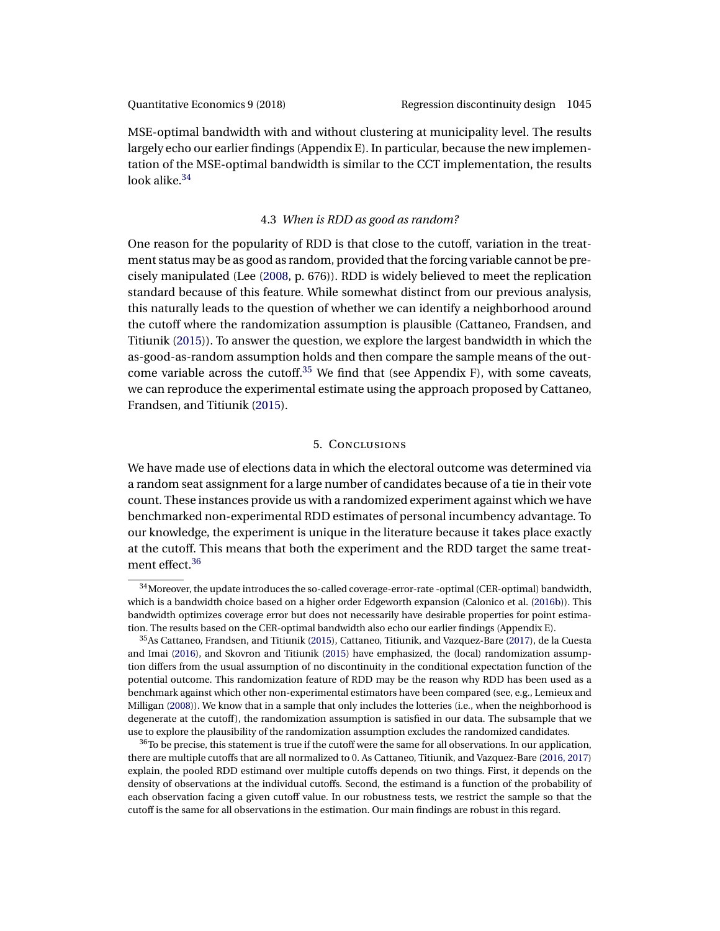<span id="page-27-0"></span>MSE-optimal bandwidth with and without clustering at municipality level. The results largely echo our earlier findings (Appendix E). In particular, because the new implementation of the MSE-optimal bandwidth is similar to the CCT implementation, the results look alike. $34$ 

## 4.3 *When is RDD as good as random?*

One reason for the popularity of RDD is that close to the cutoff, variation in the treatment status may be as good as random, provided that the forcing variable cannot be precisely manipulated (Lee [\(2008,](#page-31-0) p. 676)). RDD is widely believed to meet the replication standard because of this feature. While somewhat distinct from our previous analysis, this naturally leads to the question of whether we can identify a neighborhood around the cutoff where the randomization assumption is plausible (Cattaneo, Frandsen, and Titiunik [\(2015\)](#page-29-0)). To answer the question, we explore the largest bandwidth in which the as-good-as-random assumption holds and then compare the sample means of the outcome variable across the cutoff. $35$  We find that (see Appendix F), with some caveats, we can reproduce the experimental estimate using the approach proposed by Cattaneo, Frandsen, and Titiunik [\(2015\)](#page-29-0).

## 5. Conclusions

We have made use of elections data in which the electoral outcome was determined via a random seat assignment for a large number of candidates because of a tie in their vote count. These instances provide us with a randomized experiment against which we have benchmarked non-experimental RDD estimates of personal incumbency advantage. To our knowledge, the experiment is unique in the literature because it takes place exactly at the cutoff. This means that both the experiment and the RDD target the same treatment effect.<sup>36</sup>

 $^{34}\rm{Moreover}$ , the update introduces the so-called coverage-error-rate -optimal (CER-optimal) bandwidth, which is a bandwidth choice based on a higher order Edgeworth expansion (Calonico et al. [\(2016b\)](#page-28-0)). This bandwidth optimizes coverage error but does not necessarily have desirable properties for point estimation. The results based on the CER-optimal bandwidth also echo our earlier findings (Appendix E).

<sup>35</sup>As Cattaneo, Frandsen, and Titiunik [\(2015\)](#page-29-0), Cattaneo, Titiunik, and Vazquez-Bare [\(2017\)](#page-29-0), de la Cuesta and Imai [\(2016\)](#page-29-0), and Skovron and Titiunik [\(2015\)](#page-32-0) have emphasized, the (local) randomization assumption differs from the usual assumption of no discontinuity in the conditional expectation function of the potential outcome. This randomization feature of RDD may be the reason why RDD has been used as a benchmark against which other non-experimental estimators have been compared (see, e.g., Lemieux and Milligan [\(2008\)](#page-31-0)). We know that in a sample that only includes the lotteries (i.e., when the neighborhood is degenerate at the cutoff), the randomization assumption is satisfied in our data. The subsample that we use to explore the plausibility of the randomization assumption excludes the randomized candidates.

<sup>&</sup>lt;sup>36</sup>To be precise, this statement is true if the cutoff were the same for all observations. In our application, there are multiple cutoffs that are all normalized to 0. As Cattaneo, Titiunik, and Vazquez-Bare [\(2016, 2017\)](#page-29-0) explain, the pooled RDD estimand over multiple cutoffs depends on two things. First, it depends on the density of observations at the individual cutoffs. Second, the estimand is a function of the probability of each observation facing a given cutoff value. In our robustness tests, we restrict the sample so that the cutoff is the same for all observations in the estimation. Our main findings are robust in this regard.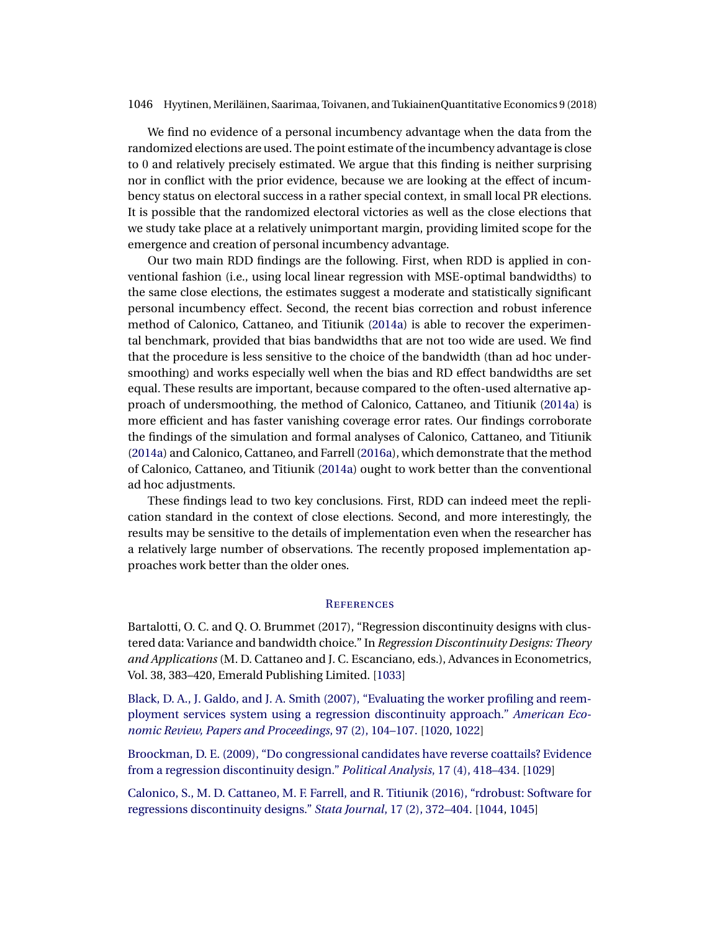<span id="page-28-0"></span>We find no evidence of a personal incumbency advantage when the data from the randomized elections are used. The point estimate of the incumbency advantage is close to 0 and relatively precisely estimated. We argue that this finding is neither surprising nor in conflict with the prior evidence, because we are looking at the effect of incumbency status on electoral success in a rather special context, in small local PR elections. It is possible that the randomized electoral victories as well as the close elections that we study take place at a relatively unimportant margin, providing limited scope for the emergence and creation of personal incumbency advantage.

Our two main RDD findings are the following. First, when RDD is applied in conventional fashion (i.e., using local linear regression with MSE-optimal bandwidths) to the same close elections, the estimates suggest a moderate and statistically significant personal incumbency effect. Second, the recent bias correction and robust inference method of Calonico, Cattaneo, and Titiunik [\(2014a\)](#page-29-0) is able to recover the experimental benchmark, provided that bias bandwidths that are not too wide are used. We find that the procedure is less sensitive to the choice of the bandwidth (than ad hoc undersmoothing) and works especially well when the bias and RD effect bandwidths are set equal. These results are important, because compared to the often-used alternative approach of undersmoothing, the method of Calonico, Cattaneo, and Titiunik [\(2014a\)](#page-29-0) is more efficient and has faster vanishing coverage error rates. Our findings corroborate the findings of the simulation and formal analyses of Calonico, Cattaneo, and Titiunik [\(2014a\)](#page-29-0) and Calonico, Cattaneo, and Farrell [\(2016a\)](#page-29-0), which demonstrate that the method of Calonico, Cattaneo, and Titiunik [\(2014a\)](#page-29-0) ought to work better than the conventional ad hoc adjustments.

These findings lead to two key conclusions. First, RDD can indeed meet the replication standard in the context of close elections. Second, and more interestingly, the results may be sensitive to the details of implementation even when the researcher has a relatively large number of observations. The recently proposed implementation approaches work better than the older ones.

## **REFERENCES**

Bartalotti, O. C. and Q. O. Brummet (2017), "Regression discontinuity designs with clustered data: Variance and bandwidth choice." In *Regression Discontinuity Designs: Theory and Applications* (M. D. Cattaneo and J. C. Escanciano, eds.), Advances in Econometrics, Vol. 38, 383–420, Emerald Publishing Limited. [\[1033\]](#page-15-0)

[Black, D. A., J. Galdo, and J. A. Smith \(2007\), "Evaluating the worker profiling and reem](http://www.e-publications.org/srv/qe/linkserver/openurl?rft_dat=bib:2/2&rfe_id=urn:sici%2F1759-7323%28201807%299%3A2%3C1019%3AWDRDDW%3E2.0.CO%3B2-3)[ployment services system using a regression discontinuity approach."](http://www.e-publications.org/srv/qe/linkserver/openurl?rft_dat=bib:2/2&rfe_id=urn:sici%2F1759-7323%28201807%299%3A2%3C1019%3AWDRDDW%3E2.0.CO%3B2-3) *American Eco[nomic Review, Papers and Proceedings](http://www.e-publications.org/srv/qe/linkserver/openurl?rft_dat=bib:2/2&rfe_id=urn:sici%2F1759-7323%28201807%299%3A2%3C1019%3AWDRDDW%3E2.0.CO%3B2-3)*, 97 (2), 104–107. [\[1020,](#page-2-0) [1022\]](#page-4-0)

[Broockman, D. E. \(2009\), "Do congressional candidates have reverse coattails? Evidence](http://www.e-publications.org/srv/qe/linkserver/openurl?rft_dat=bib:3/3&rfe_id=urn:sici%2F1759-7323%28201807%299%3A2%3C1019%3AWDRDDW%3E2.0.CO%3B2-3) [from a regression discontinuity design."](http://www.e-publications.org/srv/qe/linkserver/openurl?rft_dat=bib:3/3&rfe_id=urn:sici%2F1759-7323%28201807%299%3A2%3C1019%3AWDRDDW%3E2.0.CO%3B2-3) *Political Analysis*, 17 (4), 418–434. [\[1029\]](#page-11-0)

[Calonico, S., M. D. Cattaneo, M. F. Farrell, and R. Titiunik \(2016\), "rdrobust: Software for](http://www.e-publications.org/srv/qe/linkserver/openurl?rft_dat=bib:4/8&rfe_id=urn:sici%2F1759-7323%28201807%299%3A2%3C1019%3AWDRDDW%3E2.0.CO%3B2-3) [regressions discontinuity designs."](http://www.e-publications.org/srv/qe/linkserver/openurl?rft_dat=bib:4/8&rfe_id=urn:sici%2F1759-7323%28201807%299%3A2%3C1019%3AWDRDDW%3E2.0.CO%3B2-3) *Stata Journal*, 17 (2), 372–404. [\[1044,](#page-26-0) [1045\]](#page-27-0)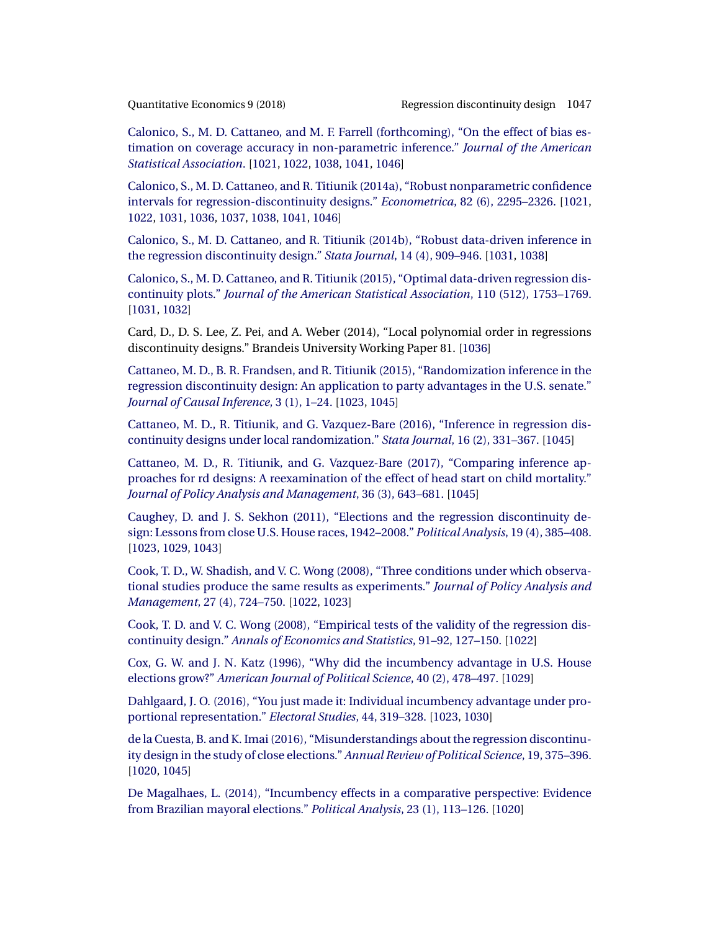<span id="page-29-0"></span>

[Calonico, S., M. D. Cattaneo, and M. F. Farrell \(forthcoming\), "On the effect of bias es](http://www.e-publications.org/srv/qe/linkserver/openurl?rft_dat=bib:5/5&rfe_id=urn:sici%2F1759-7323%28201807%299%3A2%3C1019%3AWDRDDW%3E2.0.CO%3B2-3)[timation on coverage accuracy in non-parametric inference."](http://www.e-publications.org/srv/qe/linkserver/openurl?rft_dat=bib:5/5&rfe_id=urn:sici%2F1759-7323%28201807%299%3A2%3C1019%3AWDRDDW%3E2.0.CO%3B2-3) *Journal of the American [Statistical Association](http://www.e-publications.org/srv/qe/linkserver/openurl?rft_dat=bib:5/5&rfe_id=urn:sici%2F1759-7323%28201807%299%3A2%3C1019%3AWDRDDW%3E2.0.CO%3B2-3)*. [\[1021,](#page-3-0) [1022,](#page-4-0) [1038,](#page-20-0) [1041,](#page-23-0) [1046\]](#page-28-0)

[Calonico, S., M. D. Cattaneo, and R. Titiunik \(2014a\), "Robust nonparametric confidence](http://www.e-publications.org/srv/qe/linkserver/openurl?rft_dat=bib:6/6&rfe_id=urn:sici%2F1759-7323%28201807%299%3A2%3C1019%3AWDRDDW%3E2.0.CO%3B2-3) [intervals for regression-discontinuity designs."](http://www.e-publications.org/srv/qe/linkserver/openurl?rft_dat=bib:6/6&rfe_id=urn:sici%2F1759-7323%28201807%299%3A2%3C1019%3AWDRDDW%3E2.0.CO%3B2-3) *Econometrica*, 82 (6), 2295–2326. [\[1021,](#page-3-0) [1022,](#page-4-0) [1031,](#page-13-0) [1036,](#page-18-0) [1037,](#page-19-0) [1038,](#page-20-0) [1041,](#page-23-0) [1046\]](#page-28-0)

[Calonico, S., M. D. Cattaneo, and R. Titiunik \(2014b\), "Robust data-driven inference in](http://www.e-publications.org/srv/qe/linkserver/openurl?rft_dat=bib:7/7&rfe_id=urn:sici%2F1759-7323%28201807%299%3A2%3C1019%3AWDRDDW%3E2.0.CO%3B2-3) [the regression discontinuity design."](http://www.e-publications.org/srv/qe/linkserver/openurl?rft_dat=bib:7/7&rfe_id=urn:sici%2F1759-7323%28201807%299%3A2%3C1019%3AWDRDDW%3E2.0.CO%3B2-3) *Stata Journal*, 14 (4), 909–946. [\[1031,](#page-13-0) [1038\]](#page-20-0)

[Calonico, S., M. D. Cattaneo, and R. Titiunik \(2015\), "Optimal data-driven regression dis](http://www.e-publications.org/srv/qe/linkserver/openurl?rft_dat=bib:8/4&rfe_id=urn:sici%2F1759-7323%28201807%299%3A2%3C1019%3AWDRDDW%3E2.0.CO%3B2-3)continuity plots." *[Journal of the American Statistical Association](http://www.e-publications.org/srv/qe/linkserver/openurl?rft_dat=bib:8/4&rfe_id=urn:sici%2F1759-7323%28201807%299%3A2%3C1019%3AWDRDDW%3E2.0.CO%3B2-3)*, 110 (512), 1753–1769. [\[1031,](#page-13-0) [1032\]](#page-14-0)

Card, D., D. S. Lee, Z. Pei, and A. Weber (2014), "Local polynomial order in regressions discontinuity designs." Brandeis University Working Paper 81. [\[1036\]](#page-18-0)

[Cattaneo, M. D., B. R. Frandsen, and R. Titiunik \(2015\), "Randomization inference in the](http://www.e-publications.org/srv/qe/linkserver/openurl?rft_dat=bib:10/10&rfe_id=urn:sici%2F1759-7323%28201807%299%3A2%3C1019%3AWDRDDW%3E2.0.CO%3B2-3) [regression discontinuity design: An application to party advantages in the U.S. senate."](http://www.e-publications.org/srv/qe/linkserver/openurl?rft_dat=bib:10/10&rfe_id=urn:sici%2F1759-7323%28201807%299%3A2%3C1019%3AWDRDDW%3E2.0.CO%3B2-3) *[Journal of Causal Inference](http://www.e-publications.org/srv/qe/linkserver/openurl?rft_dat=bib:10/10&rfe_id=urn:sici%2F1759-7323%28201807%299%3A2%3C1019%3AWDRDDW%3E2.0.CO%3B2-3)*, 3 (1), 1–24. [\[1023,](#page-5-0) [1045\]](#page-27-0)

[Cattaneo, M. D., R. Titiunik, and G. Vazquez-Bare \(2016\), "Inference in regression dis](http://www.e-publications.org/srv/qe/linkserver/openurl?rft_dat=bib:11/11&rfe_id=urn:sici%2F1759-7323%28201807%299%3A2%3C1019%3AWDRDDW%3E2.0.CO%3B2-3)[continuity designs under local randomization."](http://www.e-publications.org/srv/qe/linkserver/openurl?rft_dat=bib:11/11&rfe_id=urn:sici%2F1759-7323%28201807%299%3A2%3C1019%3AWDRDDW%3E2.0.CO%3B2-3) *Stata Journal*, 16 (2), 331–367. [\[1045\]](#page-27-0)

[Cattaneo, M. D., R. Titiunik, and G. Vazquez-Bare \(2017\), "Comparing inference ap](http://www.e-publications.org/srv/qe/linkserver/openurl?rft_dat=bib:12/12&rfe_id=urn:sici%2F1759-7323%28201807%299%3A2%3C1019%3AWDRDDW%3E2.0.CO%3B2-3)[proaches for rd designs: A reexamination of the effect of head start on child mortality."](http://www.e-publications.org/srv/qe/linkserver/openurl?rft_dat=bib:12/12&rfe_id=urn:sici%2F1759-7323%28201807%299%3A2%3C1019%3AWDRDDW%3E2.0.CO%3B2-3) *[Journal of Policy Analysis and Management](http://www.e-publications.org/srv/qe/linkserver/openurl?rft_dat=bib:12/12&rfe_id=urn:sici%2F1759-7323%28201807%299%3A2%3C1019%3AWDRDDW%3E2.0.CO%3B2-3)*, 36 (3), 643–681. [\[1045\]](#page-27-0)

[Caughey, D. and J. S. Sekhon \(2011\), "Elections and the regression discontinuity de](http://www.e-publications.org/srv/qe/linkserver/openurl?rft_dat=bib:13/13&rfe_id=urn:sici%2F1759-7323%28201807%299%3A2%3C1019%3AWDRDDW%3E2.0.CO%3B2-3)[sign: Lessons from close U.S. House races, 1942–2008."](http://www.e-publications.org/srv/qe/linkserver/openurl?rft_dat=bib:13/13&rfe_id=urn:sici%2F1759-7323%28201807%299%3A2%3C1019%3AWDRDDW%3E2.0.CO%3B2-3) *Political Analysis*, 19 (4), 385–408. [\[1023,](#page-5-0) [1029,](#page-11-0) [1043\]](#page-25-0)

[Cook, T. D., W. Shadish, and V. C. Wong \(2008\), "Three conditions under which observa](http://www.e-publications.org/srv/qe/linkserver/openurl?rft_dat=bib:14/15&rfe_id=urn:sici%2F1759-7323%28201807%299%3A2%3C1019%3AWDRDDW%3E2.0.CO%3B2-3)[tional studies produce the same results as experiments."](http://www.e-publications.org/srv/qe/linkserver/openurl?rft_dat=bib:14/15&rfe_id=urn:sici%2F1759-7323%28201807%299%3A2%3C1019%3AWDRDDW%3E2.0.CO%3B2-3) *Journal of Policy Analysis and Management*[, 27 \(4\), 724–750.](http://www.e-publications.org/srv/qe/linkserver/openurl?rft_dat=bib:14/15&rfe_id=urn:sici%2F1759-7323%28201807%299%3A2%3C1019%3AWDRDDW%3E2.0.CO%3B2-3) [\[1022,](#page-4-0) [1023\]](#page-5-0)

[Cook, T. D. and V. C. Wong \(2008\), "Empirical tests of the validity of the regression dis](http://www.e-publications.org/srv/qe/linkserver/openurl?rft_dat=bib:15/14&rfe_id=urn:sici%2F1759-7323%28201807%299%3A2%3C1019%3AWDRDDW%3E2.0.CO%3B2-3)continuity design." *[Annals of Economics and Statistics](http://www.e-publications.org/srv/qe/linkserver/openurl?rft_dat=bib:15/14&rfe_id=urn:sici%2F1759-7323%28201807%299%3A2%3C1019%3AWDRDDW%3E2.0.CO%3B2-3)*, 91–92, 127–150. [\[1022\]](#page-4-0)

[Cox, G. W. and J. N. Katz \(1996\), "Why did the incumbency advantage in U.S. House](http://www.e-publications.org/srv/qe/linkserver/openurl?rft_dat=bib:16/16&rfe_id=urn:sici%2F1759-7323%28201807%299%3A2%3C1019%3AWDRDDW%3E2.0.CO%3B2-3) elections grow?" *[American Journal of Political Science](http://www.e-publications.org/srv/qe/linkserver/openurl?rft_dat=bib:16/16&rfe_id=urn:sici%2F1759-7323%28201807%299%3A2%3C1019%3AWDRDDW%3E2.0.CO%3B2-3)*, 40 (2), 478–497. [\[1029\]](#page-11-0)

[Dahlgaard, J. O. \(2016\), "You just made it: Individual incumbency advantage under pro](http://www.e-publications.org/srv/qe/linkserver/openurl?rft_dat=bib:17/17&rfe_id=urn:sici%2F1759-7323%28201807%299%3A2%3C1019%3AWDRDDW%3E2.0.CO%3B2-3)[portional representation."](http://www.e-publications.org/srv/qe/linkserver/openurl?rft_dat=bib:17/17&rfe_id=urn:sici%2F1759-7323%28201807%299%3A2%3C1019%3AWDRDDW%3E2.0.CO%3B2-3) *Electoral Studies*, 44, 319–328. [\[1023,](#page-5-0) [1030\]](#page-12-0)

[de la Cuesta, B. and K. Imai \(2016\), "Misunderstandings about the regression discontinu](http://www.e-publications.org/srv/qe/linkserver/openurl?rft_dat=bib:18/20&rfe_id=urn:sici%2F1759-7323%28201807%299%3A2%3C1019%3AWDRDDW%3E2.0.CO%3B2-3)[ity design in the study of close elections."](http://www.e-publications.org/srv/qe/linkserver/openurl?rft_dat=bib:18/20&rfe_id=urn:sici%2F1759-7323%28201807%299%3A2%3C1019%3AWDRDDW%3E2.0.CO%3B2-3) *Annual Review of Political Science*, 19, 375–396. [\[1020,](#page-2-0) [1045\]](#page-27-0)

[De Magalhaes, L. \(2014\), "Incumbency effects in a comparative perspective: Evidence](http://www.e-publications.org/srv/qe/linkserver/openurl?rft_dat=bib:19/19&rfe_id=urn:sici%2F1759-7323%28201807%299%3A2%3C1019%3AWDRDDW%3E2.0.CO%3B2-3) [from Brazilian mayoral elections."](http://www.e-publications.org/srv/qe/linkserver/openurl?rft_dat=bib:19/19&rfe_id=urn:sici%2F1759-7323%28201807%299%3A2%3C1019%3AWDRDDW%3E2.0.CO%3B2-3) *Political Analysis*, 23 (1), 113–126. [\[1020\]](#page-2-0)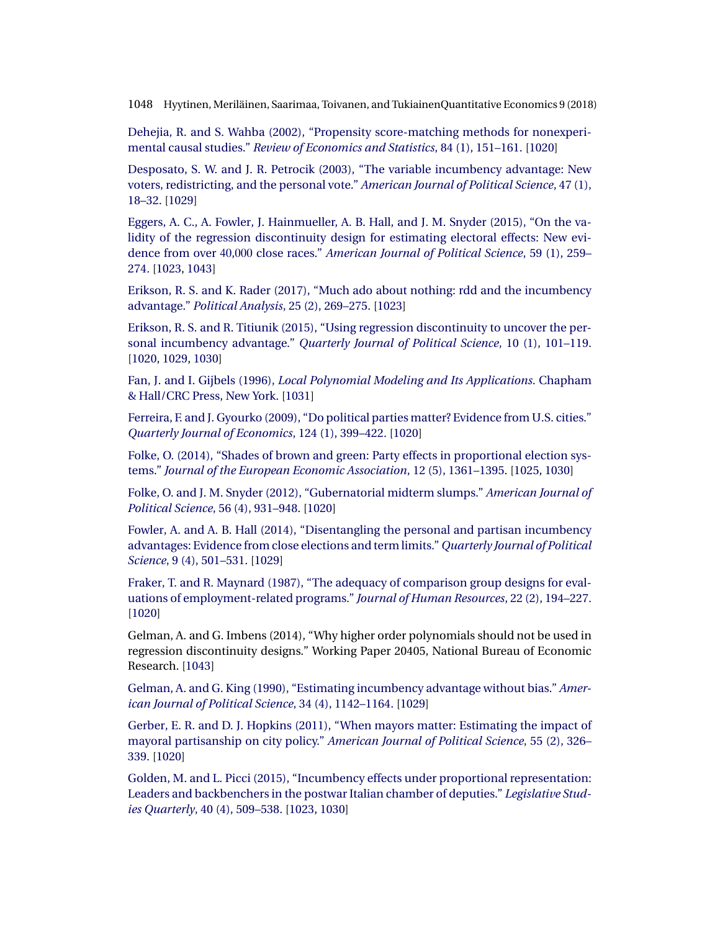<span id="page-30-0"></span>[Dehejia, R. and S. Wahba \(2002\), "Propensity score-matching methods for nonexperi](http://www.e-publications.org/srv/qe/linkserver/openurl?rft_dat=bib:20/18&rfe_id=urn:sici%2F1759-7323%28201807%299%3A2%3C1019%3AWDRDDW%3E2.0.CO%3B2-3)mental causal studies." *[Review of Economics and Statistics](http://www.e-publications.org/srv/qe/linkserver/openurl?rft_dat=bib:20/18&rfe_id=urn:sici%2F1759-7323%28201807%299%3A2%3C1019%3AWDRDDW%3E2.0.CO%3B2-3)*, 84 (1), 151–161. [\[1020\]](#page-2-0)

[Desposato, S. W. and J. R. Petrocik \(2003\), "The variable incumbency advantage: New](http://www.e-publications.org/srv/qe/linkserver/openurl?rft_dat=bib:21/21&rfe_id=urn:sici%2F1759-7323%28201807%299%3A2%3C1019%3AWDRDDW%3E2.0.CO%3B2-3) [voters, redistricting, and the personal vote."](http://www.e-publications.org/srv/qe/linkserver/openurl?rft_dat=bib:21/21&rfe_id=urn:sici%2F1759-7323%28201807%299%3A2%3C1019%3AWDRDDW%3E2.0.CO%3B2-3) *American Journal of Political Science*, 47 (1), [18–32.](http://www.e-publications.org/srv/qe/linkserver/openurl?rft_dat=bib:21/21&rfe_id=urn:sici%2F1759-7323%28201807%299%3A2%3C1019%3AWDRDDW%3E2.0.CO%3B2-3) [\[1029\]](#page-11-0)

[Eggers, A. C., A. Fowler, J. Hainmueller, A. B. Hall, and J. M. Snyder \(2015\), "On the va](http://www.e-publications.org/srv/qe/linkserver/openurl?rft_dat=bib:22/22&rfe_id=urn:sici%2F1759-7323%28201807%299%3A2%3C1019%3AWDRDDW%3E2.0.CO%3B2-3)[lidity of the regression discontinuity design for estimating electoral effects: New evi](http://www.e-publications.org/srv/qe/linkserver/openurl?rft_dat=bib:22/22&rfe_id=urn:sici%2F1759-7323%28201807%299%3A2%3C1019%3AWDRDDW%3E2.0.CO%3B2-3)dence from over 40,000 close races." *[American Journal of Political Science](http://www.e-publications.org/srv/qe/linkserver/openurl?rft_dat=bib:22/22&rfe_id=urn:sici%2F1759-7323%28201807%299%3A2%3C1019%3AWDRDDW%3E2.0.CO%3B2-3)*, 59 (1), 259– [274.](http://www.e-publications.org/srv/qe/linkserver/openurl?rft_dat=bib:22/22&rfe_id=urn:sici%2F1759-7323%28201807%299%3A2%3C1019%3AWDRDDW%3E2.0.CO%3B2-3) [\[1023,](#page-5-0) [1043\]](#page-25-0)

[Erikson, R. S. and K. Rader \(2017\), "Much ado about nothing: rdd and the incumbency](http://www.e-publications.org/srv/qe/linkserver/openurl?rft_dat=bib:23/24&rfe_id=urn:sici%2F1759-7323%28201807%299%3A2%3C1019%3AWDRDDW%3E2.0.CO%3B2-3) advantage." *[Political Analysis](http://www.e-publications.org/srv/qe/linkserver/openurl?rft_dat=bib:23/24&rfe_id=urn:sici%2F1759-7323%28201807%299%3A2%3C1019%3AWDRDDW%3E2.0.CO%3B2-3)*, 25 (2), 269–275. [\[1023\]](#page-5-0)

[Erikson, R. S. and R. Titiunik \(2015\), "Using regression discontinuity to uncover the per](http://www.e-publications.org/srv/qe/linkserver/openurl?rft_dat=bib:24/23&rfe_id=urn:sici%2F1759-7323%28201807%299%3A2%3C1019%3AWDRDDW%3E2.0.CO%3B2-3)sonal incumbency advantage." *[Quarterly Journal of Political Science](http://www.e-publications.org/srv/qe/linkserver/openurl?rft_dat=bib:24/23&rfe_id=urn:sici%2F1759-7323%28201807%299%3A2%3C1019%3AWDRDDW%3E2.0.CO%3B2-3)*, 10 (1), 101–119. [\[1020,](#page-2-0) [1029,](#page-11-0) [1030\]](#page-12-0)

Fan, J. and I. Gijbels (1996), *[Local Polynomial Modeling and Its Applications](http://www.e-publications.org/srv/qe/linkserver/openurl?rft_dat=bib:25/25&rfe_id=urn:sici%2F1759-7323%28201807%299%3A2%3C1019%3AWDRDDW%3E2.0.CO%3B2-3)*. Chapham [& Hall/CRC Press, New York.](http://www.e-publications.org/srv/qe/linkserver/openurl?rft_dat=bib:25/25&rfe_id=urn:sici%2F1759-7323%28201807%299%3A2%3C1019%3AWDRDDW%3E2.0.CO%3B2-3) [\[1031\]](#page-13-0)

[Ferreira, F. and J. Gyourko \(2009\), "Do political parties matter? Evidence from U.S. cities."](http://www.e-publications.org/srv/qe/linkserver/openurl?rft_dat=bib:26/26&rfe_id=urn:sici%2F1759-7323%28201807%299%3A2%3C1019%3AWDRDDW%3E2.0.CO%3B2-3) *[Quarterly Journal of Economics](http://www.e-publications.org/srv/qe/linkserver/openurl?rft_dat=bib:26/26&rfe_id=urn:sici%2F1759-7323%28201807%299%3A2%3C1019%3AWDRDDW%3E2.0.CO%3B2-3)*, 124 (1), 399–422. [\[1020\]](#page-2-0)

[Folke, O. \(2014\), "Shades of brown and green: Party effects in proportional election sys](http://www.e-publications.org/srv/qe/linkserver/openurl?rft_dat=bib:27/28&rfe_id=urn:sici%2F1759-7323%28201807%299%3A2%3C1019%3AWDRDDW%3E2.0.CO%3B2-3)tems." *[Journal of the European Economic Association](http://www.e-publications.org/srv/qe/linkserver/openurl?rft_dat=bib:27/28&rfe_id=urn:sici%2F1759-7323%28201807%299%3A2%3C1019%3AWDRDDW%3E2.0.CO%3B2-3)*, 12 (5), 1361–1395. [\[1025,](#page-7-0) [1030\]](#page-12-0)

[Folke, O. and J. M. Snyder \(2012\), "Gubernatorial midterm slumps."](http://www.e-publications.org/srv/qe/linkserver/openurl?rft_dat=bib:28/27&rfe_id=urn:sici%2F1759-7323%28201807%299%3A2%3C1019%3AWDRDDW%3E2.0.CO%3B2-3) *American Journal of Political Science*[, 56 \(4\), 931–948.](http://www.e-publications.org/srv/qe/linkserver/openurl?rft_dat=bib:28/27&rfe_id=urn:sici%2F1759-7323%28201807%299%3A2%3C1019%3AWDRDDW%3E2.0.CO%3B2-3) [\[1020\]](#page-2-0)

[Fowler, A. and A. B. Hall \(2014\), "Disentangling the personal and partisan incumbency](http://www.e-publications.org/srv/qe/linkserver/openurl?rft_dat=bib:29/29&rfe_id=urn:sici%2F1759-7323%28201807%299%3A2%3C1019%3AWDRDDW%3E2.0.CO%3B2-3) [advantages: Evidence from close elections and term limits."](http://www.e-publications.org/srv/qe/linkserver/openurl?rft_dat=bib:29/29&rfe_id=urn:sici%2F1759-7323%28201807%299%3A2%3C1019%3AWDRDDW%3E2.0.CO%3B2-3) *Quarterly Journal of Political Science*[, 9 \(4\), 501–531.](http://www.e-publications.org/srv/qe/linkserver/openurl?rft_dat=bib:29/29&rfe_id=urn:sici%2F1759-7323%28201807%299%3A2%3C1019%3AWDRDDW%3E2.0.CO%3B2-3) [\[1029\]](#page-11-0)

[Fraker, T. and R. Maynard \(1987\), "The adequacy of comparison group designs for eval](http://www.e-publications.org/srv/qe/linkserver/openurl?rft_dat=bib:30/30&rfe_id=urn:sici%2F1759-7323%28201807%299%3A2%3C1019%3AWDRDDW%3E2.0.CO%3B2-3)[uations of employment-related programs."](http://www.e-publications.org/srv/qe/linkserver/openurl?rft_dat=bib:30/30&rfe_id=urn:sici%2F1759-7323%28201807%299%3A2%3C1019%3AWDRDDW%3E2.0.CO%3B2-3) *Journal of Human Resources*, 22 (2), 194–227. [\[1020\]](#page-2-0)

Gelman, A. and G. Imbens (2014), "Why higher order polynomials should not be used in regression discontinuity designs." Working Paper 20405, National Bureau of Economic Research. [\[1043\]](#page-25-0)

[Gelman, A. and G. King \(1990\), "Estimating incumbency advantage without bias."](http://www.e-publications.org/srv/qe/linkserver/openurl?rft_dat=bib:32/32&rfe_id=urn:sici%2F1759-7323%28201807%299%3A2%3C1019%3AWDRDDW%3E2.0.CO%3B2-3) *Amer[ican Journal of Political Science](http://www.e-publications.org/srv/qe/linkserver/openurl?rft_dat=bib:32/32&rfe_id=urn:sici%2F1759-7323%28201807%299%3A2%3C1019%3AWDRDDW%3E2.0.CO%3B2-3)*, 34 (4), 1142–1164. [\[1029\]](#page-11-0)

[Gerber, E. R. and D. J. Hopkins \(2011\), "When mayors matter: Estimating the impact of](http://www.e-publications.org/srv/qe/linkserver/openurl?rft_dat=bib:33/33&rfe_id=urn:sici%2F1759-7323%28201807%299%3A2%3C1019%3AWDRDDW%3E2.0.CO%3B2-3) [mayoral partisanship on city policy."](http://www.e-publications.org/srv/qe/linkserver/openurl?rft_dat=bib:33/33&rfe_id=urn:sici%2F1759-7323%28201807%299%3A2%3C1019%3AWDRDDW%3E2.0.CO%3B2-3) *American Journal of Political Science*, 55 (2), 326– [339.](http://www.e-publications.org/srv/qe/linkserver/openurl?rft_dat=bib:33/33&rfe_id=urn:sici%2F1759-7323%28201807%299%3A2%3C1019%3AWDRDDW%3E2.0.CO%3B2-3) [\[1020\]](#page-2-0)

[Golden, M. and L. Picci \(2015\), "Incumbency effects under proportional representation:](http://www.e-publications.org/srv/qe/linkserver/openurl?rft_dat=bib:34/36&rfe_id=urn:sici%2F1759-7323%28201807%299%3A2%3C1019%3AWDRDDW%3E2.0.CO%3B2-3) [Leaders and backbenchers in the postwar Italian chamber of deputies."](http://www.e-publications.org/srv/qe/linkserver/openurl?rft_dat=bib:34/36&rfe_id=urn:sici%2F1759-7323%28201807%299%3A2%3C1019%3AWDRDDW%3E2.0.CO%3B2-3) *Legislative Studies Quarterly*[, 40 \(4\), 509–538.](http://www.e-publications.org/srv/qe/linkserver/openurl?rft_dat=bib:34/36&rfe_id=urn:sici%2F1759-7323%28201807%299%3A2%3C1019%3AWDRDDW%3E2.0.CO%3B2-3) [\[1023,](#page-5-0) [1030\]](#page-12-0)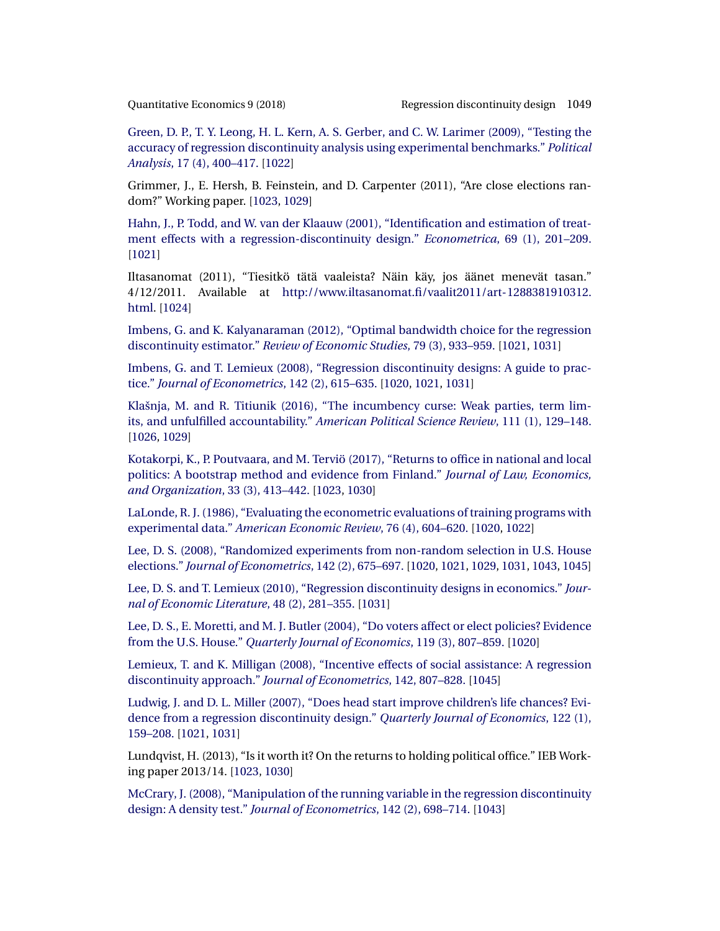<span id="page-31-0"></span>

[Green, D. P., T. Y. Leong, H. L. Kern, A. S. Gerber, and C. W. Larimer \(2009\), "Testing the](http://www.e-publications.org/srv/qe/linkserver/openurl?rft_dat=bib:35/34&rfe_id=urn:sici%2F1759-7323%28201807%299%3A2%3C1019%3AWDRDDW%3E2.0.CO%3B2-3) [accuracy of regression discontinuity analysis using experimental benchmarks."](http://www.e-publications.org/srv/qe/linkserver/openurl?rft_dat=bib:35/34&rfe_id=urn:sici%2F1759-7323%28201807%299%3A2%3C1019%3AWDRDDW%3E2.0.CO%3B2-3) *Political Analysis*[, 17 \(4\), 400–417.](http://www.e-publications.org/srv/qe/linkserver/openurl?rft_dat=bib:35/34&rfe_id=urn:sici%2F1759-7323%28201807%299%3A2%3C1019%3AWDRDDW%3E2.0.CO%3B2-3) [\[1022\]](#page-4-0)

Grimmer, J., E. Hersh, B. Feinstein, and D. Carpenter (2011), "Are close elections random?" Working paper. [\[1023,](#page-5-0) [1029\]](#page-11-0)

[Hahn, J., P. Todd, and W. van der Klaauw \(2001\), "Identification and estimation of treat](http://www.e-publications.org/srv/qe/linkserver/openurl?rft_dat=bib:37/37&rfe_id=urn:sici%2F1759-7323%28201807%299%3A2%3C1019%3AWDRDDW%3E2.0.CO%3B2-3)[ment effects with a regression-discontinuity design."](http://www.e-publications.org/srv/qe/linkserver/openurl?rft_dat=bib:37/37&rfe_id=urn:sici%2F1759-7323%28201807%299%3A2%3C1019%3AWDRDDW%3E2.0.CO%3B2-3) *Econometrica*, 69 (1), 201–209. [\[1021\]](#page-3-0)

Iltasanomat (2011), "Tiesitkö tätä vaaleista? Näin käy, jos äänet menevät tasan." 4/12/2011. Available at [http://www.iltasanomat.fi/vaalit2011/art-1288381910312.](http://www.iltasanomat.fi/vaalit2011/art-1288381910312.html) [html](http://www.iltasanomat.fi/vaalit2011/art-1288381910312.html). [\[1024\]](#page-6-0)

[Imbens, G. and K. Kalyanaraman \(2012\), "Optimal bandwidth choice for the regression](http://www.e-publications.org/srv/qe/linkserver/openurl?rft_dat=bib:39/40&rfe_id=urn:sici%2F1759-7323%28201807%299%3A2%3C1019%3AWDRDDW%3E2.0.CO%3B2-3) discontinuity estimator." *[Review of Economic Studies](http://www.e-publications.org/srv/qe/linkserver/openurl?rft_dat=bib:39/40&rfe_id=urn:sici%2F1759-7323%28201807%299%3A2%3C1019%3AWDRDDW%3E2.0.CO%3B2-3)*, 79 (3), 933–959. [\[1021,](#page-3-0) [1031\]](#page-13-0)

[Imbens, G. and T. Lemieux \(2008\), "Regression discontinuity designs: A guide to prac](http://www.e-publications.org/srv/qe/linkserver/openurl?rft_dat=bib:40/39&rfe_id=urn:sici%2F1759-7323%28201807%299%3A2%3C1019%3AWDRDDW%3E2.0.CO%3B2-3)tice." *[Journal of Econometrics](http://www.e-publications.org/srv/qe/linkserver/openurl?rft_dat=bib:40/39&rfe_id=urn:sici%2F1759-7323%28201807%299%3A2%3C1019%3AWDRDDW%3E2.0.CO%3B2-3)*, 142 (2), 615–635. [\[1020,](#page-2-0) [1021,](#page-3-0) [1031\]](#page-13-0)

[Klašnja, M. and R. Titiunik \(2016\), "The incumbency curse: Weak parties, term lim](http://www.e-publications.org/srv/qe/linkserver/openurl?rft_dat=bib:41/41&rfe_id=urn:sici%2F1759-7323%28201807%299%3A2%3C1019%3AWDRDDW%3E2.0.CO%3B2-3)[its, and unfulfilled accountability."](http://www.e-publications.org/srv/qe/linkserver/openurl?rft_dat=bib:41/41&rfe_id=urn:sici%2F1759-7323%28201807%299%3A2%3C1019%3AWDRDDW%3E2.0.CO%3B2-3) *American Political Science Review*, 111 (1), 129–148. [\[1026,](#page-8-0) [1029\]](#page-11-0)

[Kotakorpi, K., P. Poutvaara, and M. Terviö \(2017\), "Returns to office in national and local](http://www.e-publications.org/srv/qe/linkserver/openurl?rft_dat=bib:42/42&rfe_id=urn:sici%2F1759-7323%28201807%299%3A2%3C1019%3AWDRDDW%3E2.0.CO%3B2-3) [politics: A bootstrap method and evidence from Finland."](http://www.e-publications.org/srv/qe/linkserver/openurl?rft_dat=bib:42/42&rfe_id=urn:sici%2F1759-7323%28201807%299%3A2%3C1019%3AWDRDDW%3E2.0.CO%3B2-3) *Journal of Law, Economics, [and Organization](http://www.e-publications.org/srv/qe/linkserver/openurl?rft_dat=bib:42/42&rfe_id=urn:sici%2F1759-7323%28201807%299%3A2%3C1019%3AWDRDDW%3E2.0.CO%3B2-3)*, 33 (3), 413–442. [\[1023,](#page-5-0) [1030\]](#page-12-0)

[LaLonde, R. J. \(1986\), "Evaluating the econometric evaluations of training programs with](http://www.e-publications.org/srv/qe/linkserver/openurl?rft_dat=bib:43/43&rfe_id=urn:sici%2F1759-7323%28201807%299%3A2%3C1019%3AWDRDDW%3E2.0.CO%3B2-3) experimental data." *[American Economic Review](http://www.e-publications.org/srv/qe/linkserver/openurl?rft_dat=bib:43/43&rfe_id=urn:sici%2F1759-7323%28201807%299%3A2%3C1019%3AWDRDDW%3E2.0.CO%3B2-3)*, 76 (4), 604–620. [\[1020,](#page-2-0) [1022\]](#page-4-0)

[Lee, D. S. \(2008\), "Randomized experiments from non-random selection in U.S. House](http://www.e-publications.org/srv/qe/linkserver/openurl?rft_dat=bib:44/44&rfe_id=urn:sici%2F1759-7323%28201807%299%3A2%3C1019%3AWDRDDW%3E2.0.CO%3B2-3) elections." *[Journal of Econometrics](http://www.e-publications.org/srv/qe/linkserver/openurl?rft_dat=bib:44/44&rfe_id=urn:sici%2F1759-7323%28201807%299%3A2%3C1019%3AWDRDDW%3E2.0.CO%3B2-3)*, 142 (2), 675–697. [\[1020,](#page-2-0) [1021,](#page-3-0) [1029,](#page-11-0) [1031,](#page-13-0) [1043,](#page-25-0) [1045\]](#page-27-0)

[Lee, D. S. and T. Lemieux \(2010\), "Regression discontinuity designs in economics."](http://www.e-publications.org/srv/qe/linkserver/openurl?rft_dat=bib:45/45&rfe_id=urn:sici%2F1759-7323%28201807%299%3A2%3C1019%3AWDRDDW%3E2.0.CO%3B2-3) *Jour[nal of Economic Literature](http://www.e-publications.org/srv/qe/linkserver/openurl?rft_dat=bib:45/45&rfe_id=urn:sici%2F1759-7323%28201807%299%3A2%3C1019%3AWDRDDW%3E2.0.CO%3B2-3)*, 48 (2), 281–355. [\[1031\]](#page-13-0)

[Lee, D. S., E. Moretti, and M. J. Butler \(2004\), "Do voters affect or elect policies? Evidence](http://www.e-publications.org/srv/qe/linkserver/openurl?rft_dat=bib:46/46&rfe_id=urn:sici%2F1759-7323%28201807%299%3A2%3C1019%3AWDRDDW%3E2.0.CO%3B2-3) from the U.S. House." *[Quarterly Journal of Economics](http://www.e-publications.org/srv/qe/linkserver/openurl?rft_dat=bib:46/46&rfe_id=urn:sici%2F1759-7323%28201807%299%3A2%3C1019%3AWDRDDW%3E2.0.CO%3B2-3)*, 119 (3), 807–859. [\[1020\]](#page-2-0)

[Lemieux, T. and K. Milligan \(2008\), "Incentive effects of social assistance: A regression](http://www.e-publications.org/srv/qe/linkserver/openurl?rft_dat=bib:47/47&rfe_id=urn:sici%2F1759-7323%28201807%299%3A2%3C1019%3AWDRDDW%3E2.0.CO%3B2-3) [discontinuity approach."](http://www.e-publications.org/srv/qe/linkserver/openurl?rft_dat=bib:47/47&rfe_id=urn:sici%2F1759-7323%28201807%299%3A2%3C1019%3AWDRDDW%3E2.0.CO%3B2-3) *Journal of Econometrics*, 142, 807–828. [\[1045\]](#page-27-0)

[Ludwig, J. and D. L. Miller \(2007\), "Does head start improve children's life chances? Evi](http://www.e-publications.org/srv/qe/linkserver/openurl?rft_dat=bib:48/48&rfe_id=urn:sici%2F1759-7323%28201807%299%3A2%3C1019%3AWDRDDW%3E2.0.CO%3B2-3)[dence from a regression discontinuity design."](http://www.e-publications.org/srv/qe/linkserver/openurl?rft_dat=bib:48/48&rfe_id=urn:sici%2F1759-7323%28201807%299%3A2%3C1019%3AWDRDDW%3E2.0.CO%3B2-3) *Quarterly Journal of Economics*, 122 (1), [159–208.](http://www.e-publications.org/srv/qe/linkserver/openurl?rft_dat=bib:48/48&rfe_id=urn:sici%2F1759-7323%28201807%299%3A2%3C1019%3AWDRDDW%3E2.0.CO%3B2-3) [\[1021,](#page-3-0) [1031\]](#page-13-0)

Lundqvist, H. (2013), "Is it worth it? On the returns to holding political office." IEB Working paper 2013/14. [\[1023,](#page-5-0) [1030\]](#page-12-0)

[McCrary, J. \(2008\), "Manipulation of the running variable in the regression discontinuity](http://www.e-publications.org/srv/qe/linkserver/openurl?rft_dat=bib:50/50&rfe_id=urn:sici%2F1759-7323%28201807%299%3A2%3C1019%3AWDRDDW%3E2.0.CO%3B2-3) design: A density test." *[Journal of Econometrics](http://www.e-publications.org/srv/qe/linkserver/openurl?rft_dat=bib:50/50&rfe_id=urn:sici%2F1759-7323%28201807%299%3A2%3C1019%3AWDRDDW%3E2.0.CO%3B2-3)*, 142 (2), 698–714. [\[1043\]](#page-25-0)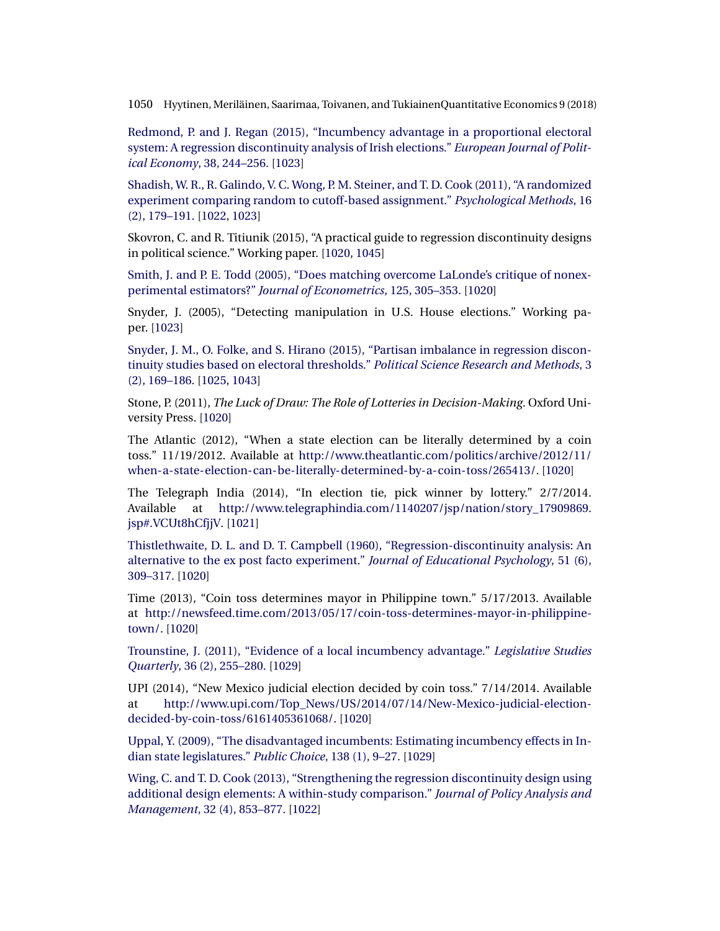<span id="page-32-0"></span>[Redmond, P. and J. Regan \(2015\), "Incumbency advantage in a proportional electoral](http://www.e-publications.org/srv/qe/linkserver/openurl?rft_dat=bib:51/51&rfe_id=urn:sici%2F1759-7323%28201807%299%3A2%3C1019%3AWDRDDW%3E2.0.CO%3B2-3) [system: A regression discontinuity analysis of Irish elections."](http://www.e-publications.org/srv/qe/linkserver/openurl?rft_dat=bib:51/51&rfe_id=urn:sici%2F1759-7323%28201807%299%3A2%3C1019%3AWDRDDW%3E2.0.CO%3B2-3) *European Journal of Political Economy*[, 38, 244–256.](http://www.e-publications.org/srv/qe/linkserver/openurl?rft_dat=bib:51/51&rfe_id=urn:sici%2F1759-7323%28201807%299%3A2%3C1019%3AWDRDDW%3E2.0.CO%3B2-3) [\[1023\]](#page-5-0)

[Shadish, W. R., R. Galindo, V. C. Wong, P. M. Steiner, and T. D. Cook \(2011\), "A randomized](http://www.e-publications.org/srv/qe/linkserver/openurl?rft_dat=bib:52/52&rfe_id=urn:sici%2F1759-7323%28201807%299%3A2%3C1019%3AWDRDDW%3E2.0.CO%3B2-3) [experiment comparing random to cutoff-based assignment."](http://www.e-publications.org/srv/qe/linkserver/openurl?rft_dat=bib:52/52&rfe_id=urn:sici%2F1759-7323%28201807%299%3A2%3C1019%3AWDRDDW%3E2.0.CO%3B2-3) *Psychological Methods*, 16 [\(2\), 179–191.](http://www.e-publications.org/srv/qe/linkserver/openurl?rft_dat=bib:52/52&rfe_id=urn:sici%2F1759-7323%28201807%299%3A2%3C1019%3AWDRDDW%3E2.0.CO%3B2-3) [\[1022,](#page-4-0) [1023\]](#page-5-0)

Skovron, C. and R. Titiunik (2015), "A practical guide to regression discontinuity designs in political science." Working paper. [\[1020,](#page-2-0) [1045\]](#page-27-0)

[Smith, J. and P. E. Todd \(2005\), "Does matching overcome LaLonde's critique of nonex](http://www.e-publications.org/srv/qe/linkserver/openurl?rft_dat=bib:54/54&rfe_id=urn:sici%2F1759-7323%28201807%299%3A2%3C1019%3AWDRDDW%3E2.0.CO%3B2-3)[perimental estimators?"](http://www.e-publications.org/srv/qe/linkserver/openurl?rft_dat=bib:54/54&rfe_id=urn:sici%2F1759-7323%28201807%299%3A2%3C1019%3AWDRDDW%3E2.0.CO%3B2-3) *Journal of Econometrics*, 125, 305–353. [\[1020\]](#page-2-0)

Snyder, J. (2005), "Detecting manipulation in U.S. House elections." Working paper. [\[1023\]](#page-5-0)

[Snyder, J. M., O. Folke, and S. Hirano \(2015\), "Partisan imbalance in regression discon](http://www.e-publications.org/srv/qe/linkserver/openurl?rft_dat=bib:56/55&rfe_id=urn:sici%2F1759-7323%28201807%299%3A2%3C1019%3AWDRDDW%3E2.0.CO%3B2-3)[tinuity studies based on electoral thresholds."](http://www.e-publications.org/srv/qe/linkserver/openurl?rft_dat=bib:56/55&rfe_id=urn:sici%2F1759-7323%28201807%299%3A2%3C1019%3AWDRDDW%3E2.0.CO%3B2-3) *Political Science Research and Methods*, 3 [\(2\), 169–186.](http://www.e-publications.org/srv/qe/linkserver/openurl?rft_dat=bib:56/55&rfe_id=urn:sici%2F1759-7323%28201807%299%3A2%3C1019%3AWDRDDW%3E2.0.CO%3B2-3) [\[1025,](#page-7-0) [1043\]](#page-25-0)

Stone, P. (2011), *The Luck of Draw: The Role of Lotteries in Decision-Making*. Oxford University Press. [\[1020\]](#page-2-0)

The Atlantic (2012), "When a state election can be literally determined by a coin toss." 11/19/2012. Available at [http://www.theatlantic.com/politics/archive/2012/11/](http://www.theatlantic.com/politics/archive/2012/11/when-a-state-election-can-be-literally-determined-by-a-coin-toss/265413/) [when-a-state-election-can-be-literally-determined-by-a-coin-toss/265413/.](http://www.theatlantic.com/politics/archive/2012/11/when-a-state-election-can-be-literally-determined-by-a-coin-toss/265413/) [\[1020\]](#page-2-0)

The Telegraph India (2014), "In election tie, pick winner by lottery." 2/7/2014. Available at [http://www.telegraphindia.com/1140207/jsp/nation/story\\_17909869.](http://www.telegraphindia.com/1140207/jsp/nation/story_17909869.jsp#.VCUt8hCfjjV) [jsp#.VCUt8hCfjjV.](http://www.telegraphindia.com/1140207/jsp/nation/story_17909869.jsp#.VCUt8hCfjjV) [\[1021\]](#page-3-0)

[Thistlethwaite, D. L. and D. T. Campbell \(1960\), "Regression-discontinuity analysis: An](http://www.e-publications.org/srv/qe/linkserver/openurl?rft_dat=bib:60/60&rfe_id=urn:sici%2F1759-7323%28201807%299%3A2%3C1019%3AWDRDDW%3E2.0.CO%3B2-3) [alternative to the ex post facto experiment."](http://www.e-publications.org/srv/qe/linkserver/openurl?rft_dat=bib:60/60&rfe_id=urn:sici%2F1759-7323%28201807%299%3A2%3C1019%3AWDRDDW%3E2.0.CO%3B2-3) *Journal of Educational Psychology*, 51 (6), [309–317.](http://www.e-publications.org/srv/qe/linkserver/openurl?rft_dat=bib:60/60&rfe_id=urn:sici%2F1759-7323%28201807%299%3A2%3C1019%3AWDRDDW%3E2.0.CO%3B2-3) [\[1020\]](#page-2-0)

Time (2013), "Coin toss determines mayor in Philippine town." 5/17/2013. Available at [http://newsfeed.time.com/2013/05/17/coin-toss-determines-mayor-in-philippine](http://newsfeed.time.com/2013/05/17/coin-toss-determines-mayor-in-philippine-town/)[town/](http://newsfeed.time.com/2013/05/17/coin-toss-determines-mayor-in-philippine-town/). [\[1020\]](#page-2-0)

[Trounstine, J. \(2011\), "Evidence of a local incumbency advantage."](http://www.e-publications.org/srv/qe/linkserver/openurl?rft_dat=bib:62/62&rfe_id=urn:sici%2F1759-7323%28201807%299%3A2%3C1019%3AWDRDDW%3E2.0.CO%3B2-3) *Legislative Studies Quarterly*[, 36 \(2\), 255–280.](http://www.e-publications.org/srv/qe/linkserver/openurl?rft_dat=bib:62/62&rfe_id=urn:sici%2F1759-7323%28201807%299%3A2%3C1019%3AWDRDDW%3E2.0.CO%3B2-3) [\[1029\]](#page-11-0)

UPI (2014), "New Mexico judicial election decided by coin toss." 7/14/2014. Available at [http://www.upi.com/Top\\_News/US/2014/07/14/New-Mexico-judicial-election](http://www.upi.com/Top_News/US/2014/07/14/New-Mexico-judicial-election-decided-by-coin-toss/6161405361068/)[decided-by-coin-toss/6161405361068/.](http://www.upi.com/Top_News/US/2014/07/14/New-Mexico-judicial-election-decided-by-coin-toss/6161405361068/) [\[1020\]](#page-2-0)

[Uppal, Y. \(2009\), "The disadvantaged incumbents: Estimating incumbency effects in In](http://www.e-publications.org/srv/qe/linkserver/openurl?rft_dat=bib:64/63&rfe_id=urn:sici%2F1759-7323%28201807%299%3A2%3C1019%3AWDRDDW%3E2.0.CO%3B2-3)[dian state legislatures."](http://www.e-publications.org/srv/qe/linkserver/openurl?rft_dat=bib:64/63&rfe_id=urn:sici%2F1759-7323%28201807%299%3A2%3C1019%3AWDRDDW%3E2.0.CO%3B2-3) *Public Choice*, 138 (1), 9–27. [\[1029\]](#page-11-0)

[Wing, C. and T. D. Cook \(2013\), "Strengthening the regression discontinuity design using](http://www.e-publications.org/srv/qe/linkserver/openurl?rft_dat=bib:65/65&rfe_id=urn:sici%2F1759-7323%28201807%299%3A2%3C1019%3AWDRDDW%3E2.0.CO%3B2-3) additional [design elements: A within-study comparison."](http://www.e-publications.org/srv/qe/linkserver/openurl?rft_dat=bib:65/65&rfe_id=urn:sici%2F1759-7323%28201807%299%3A2%3C1019%3AWDRDDW%3E2.0.CO%3B2-3) *Journal of Policy Analysis and Management*[, 32 \(4\), 853–877.](http://www.e-publications.org/srv/qe/linkserver/openurl?rft_dat=bib:65/65&rfe_id=urn:sici%2F1759-7323%28201807%299%3A2%3C1019%3AWDRDDW%3E2.0.CO%3B2-3) [\[1022\]](#page-4-0)